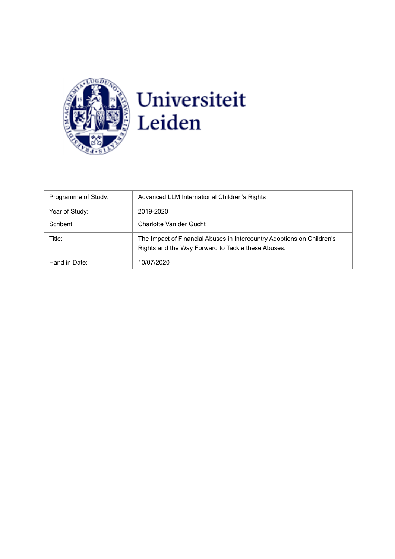

| Programme of Study: | Advanced LLM International Children's Rights                                                                                 |  |
|---------------------|------------------------------------------------------------------------------------------------------------------------------|--|
| Year of Study:      | 2019-2020                                                                                                                    |  |
| Scribent:           | Charlotte Van der Gucht                                                                                                      |  |
| Title:              | The Impact of Financial Abuses in Intercountry Adoptions on Children's<br>Rights and the Way Forward to Tackle these Abuses. |  |
| Hand in Date:       | 10/07/2020                                                                                                                   |  |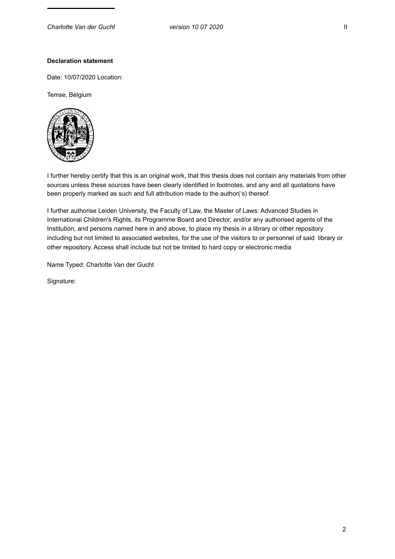# **Declaration statement**

Date: 10/07/2020 Location:

Temse, Belgium



I further hereby certify that this is an original work, that this thesis does not contain any materials from other sources unless these sources have been clearly identified in footnotes, and any and all quotations have been properly marked as such and full attribution made to the author('s) thereof.

I further authorise Leiden University, the Faculty of Law, the Master of Laws: Advanced Studies in International Children's Rights, its Programme Board and Director, and/or any authorised agents of the Institution, and persons named here in and above, to place my thesis in a library or other repository including but not limited to associated websites, for the use of the visitors to or personnel of said library or other repository. Access shall include but not be limited to hard copy or electronic media

Name Typed: Charlotte Van der Gucht

Signature: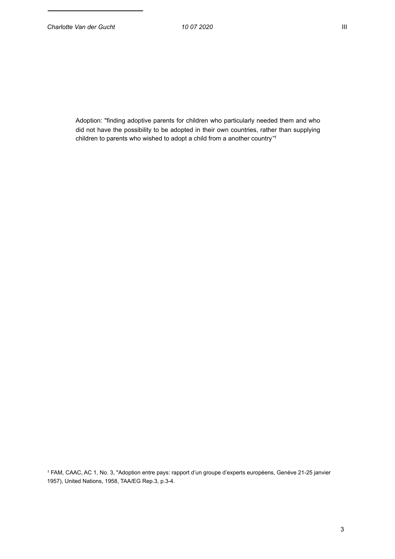Adoption: "finding adoptive parents for children who particularly needed them and who did not have the possibility to be adopted in their own countries, rather than supplying children to parents who wished to adopt a child from a another country*"1*

*<sup>1</sup>* FAM, CAAC, AC 1, No. 3, "Adoption entre pays: rapport d'un groupe d'experts européens, Genève 21-25 janvier 1957), United Nations, 1958, TAA/EG Rep.3, p.3-4.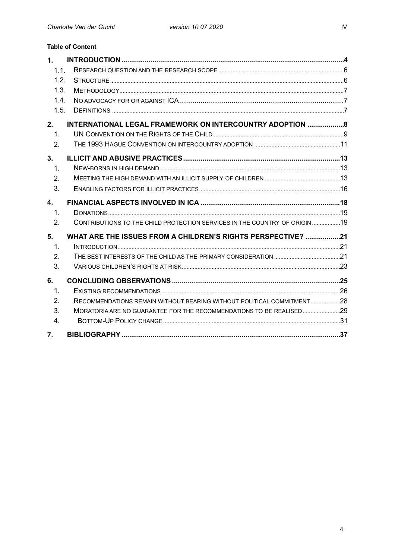| <b>Table of Content</b>                                                            |                                                                             |  |  |
|------------------------------------------------------------------------------------|-----------------------------------------------------------------------------|--|--|
| 1.                                                                                 |                                                                             |  |  |
| 1.1.                                                                               |                                                                             |  |  |
|                                                                                    | 1.2.                                                                        |  |  |
| 1.3.                                                                               |                                                                             |  |  |
| 1.4.                                                                               |                                                                             |  |  |
|                                                                                    | 1.5.                                                                        |  |  |
| <b>INTERNATIONAL LEGAL FRAMEWORK ON INTERCOUNTRY ADOPTION  8</b><br>2 <sub>1</sub> |                                                                             |  |  |
| $\mathbf{1}$ .                                                                     |                                                                             |  |  |
| 2.                                                                                 |                                                                             |  |  |
| 3.                                                                                 |                                                                             |  |  |
| 1.                                                                                 |                                                                             |  |  |
| 2.                                                                                 |                                                                             |  |  |
| 3.                                                                                 |                                                                             |  |  |
| 4.                                                                                 |                                                                             |  |  |
| 1.                                                                                 |                                                                             |  |  |
| 2.                                                                                 | CONTRIBUTIONS TO THE CHILD PROTECTION SERVICES IN THE COUNTRY OF ORIGIN  19 |  |  |
| WHAT ARE THE ISSUES FROM A CHILDREN'S RIGHTS PERSPECTIVE? 21<br>5.                 |                                                                             |  |  |
| 1.                                                                                 |                                                                             |  |  |
| 2.                                                                                 |                                                                             |  |  |
| 3.                                                                                 |                                                                             |  |  |
| 6.                                                                                 |                                                                             |  |  |
| 1.                                                                                 |                                                                             |  |  |
| 2.                                                                                 | RECOMMENDATIONS REMAIN WITHOUT BEARING WITHOUT POLITICAL COMMITMENT28       |  |  |
| 3.                                                                                 | MORATORIA ARE NO GUARANTEE FOR THE RECOMMENDATIONS TO BE REALISED29         |  |  |
| 4 <sub>1</sub>                                                                     |                                                                             |  |  |

7.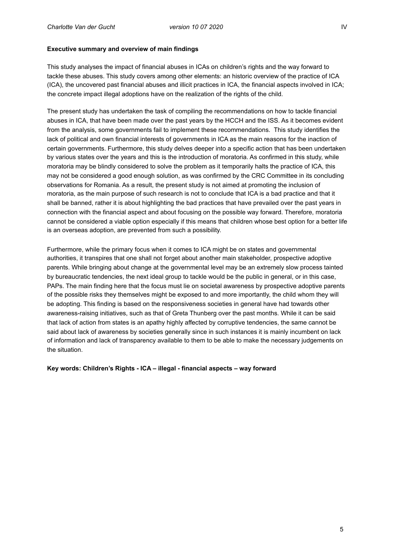# **Executive summary and overview of main findings**

This study analyses the impact of financial abuses in ICAs on children's rights and the way forward to tackle these abuses. This study covers among other elements: an historic overview of the practice of ICA (ICA), the uncovered past financial abuses and illicit practices in ICA, the financial aspects involved in ICA; the concrete impact illegal adoptions have on the realization of the rights of the child.

The present study has undertaken the task of compiling the recommendations on how to tackle financial abuses in ICA, that have been made over the past years by the HCCH and the ISS. As it becomes evident from the analysis, some governments fail to implement these recommendations. This study identifies the lack of political and own financial interests of governments in ICA as the main reasons for the inaction of certain governments. Furthermore, this study delves deeper into a specific action that has been undertaken by various states over the years and this is the introduction of moratoria. As confirmed in this study, while moratoria may be blindly considered to solve the problem as it temporarily halts the practice of ICA, this may not be considered a good enough solution, as was confirmed by the CRC Committee in its concluding observations for Romania. As a result, the present study is not aimed at promoting the inclusion of moratoria, as the main purpose of such research is not to conclude that ICA is a bad practice and that it shall be banned, rather it is about highlighting the bad practices that have prevailed over the past years in connection with the financial aspect and about focusing on the possible way forward. Therefore, moratoria cannot be considered a viable option especially if this means that children whose best option for a better life is an overseas adoption, are prevented from such a possibility.

Furthermore, while the primary focus when it comes to ICA might be on states and governmental authorities, it transpires that one shall not forget about another main stakeholder, prospective adoptive parents. While bringing about change at the governmental level may be an extremely slow process tainted by bureaucratic tendencies, the next ideal group to tackle would be the public in general, or in this case, PAPs. The main finding here that the focus must lie on societal awareness by prospective adoptive parents of the possible risks they themselves might be exposed to and more importantly, the child whom they will be adopting. This finding is based on the responsiveness societies in general have had towards other awareness-raising initiatives, such as that of Greta Thunberg over the past months. While it can be said that lack of action from states is an apathy highly affected by corruptive tendencies, the same cannot be said about lack of awareness by societies generally since in such instances it is mainly incumbent on lack of information and lack of transparency available to them to be able to make the necessary judgements on the situation.

**Key words: Children's Rights - ICA – illegal - financial aspects – way forward**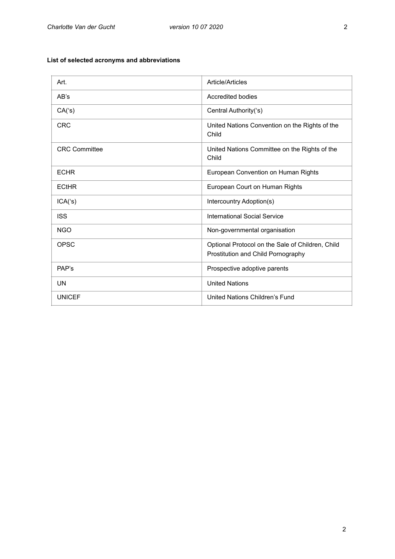# **List of selected acronyms and abbreviations**

| Art.                 | Article/Articles                                                                       |
|----------------------|----------------------------------------------------------------------------------------|
| AB's                 | Accredited bodies                                                                      |
| CA(s)                | Central Authority('s)                                                                  |
| <b>CRC</b>           | United Nations Convention on the Rights of the<br>Child                                |
| <b>CRC Committee</b> | United Nations Committee on the Rights of the<br>Child                                 |
| <b>ECHR</b>          | European Convention on Human Rights                                                    |
| <b>ECtHR</b>         | European Court on Human Rights                                                         |
| ICA(s)               | Intercountry Adoption(s)                                                               |
| <b>ISS</b>           | International Social Service                                                           |
| <b>NGO</b>           | Non-governmental organisation                                                          |
| <b>OPSC</b>          | Optional Protocol on the Sale of Children, Child<br>Prostitution and Child Pornography |
| PAP's                | Prospective adoptive parents                                                           |
| UN                   | <b>United Nations</b>                                                                  |
| <b>UNICEF</b>        | United Nations Children's Fund                                                         |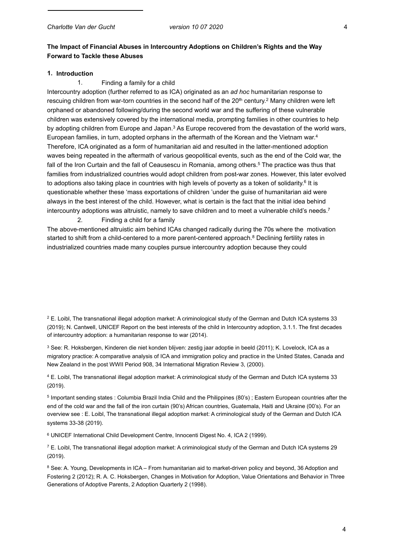# **The Impact of Financial Abuses in Intercountry Adoptions on Children's Rights and the Way Forward to Tackle these Abuses**

#### **1. Introduction**

#### 1. Finding a family for a child

Intercountry adoption (further referred to as ICA) originated as an *ad hoc* humanitarian response to rescuing children from war-torn countries in the second half of the 20<sup>th</sup> century.<sup>2</sup> Many children were left orphaned or abandoned following/during the second world war and the suffering of these vulnerable children was extensively covered by the international media, prompting families in other countries to help by adopting children from Europe and Japan.<sup>3</sup> As Europe recovered from the devastation of the world wars, European families, in turn, adopted orphans in the aftermath of the Korean and the Vietnam war.4 Therefore, ICA originated as a form of humanitarian aid and resulted in the latter-mentioned adoption waves being repeated in the aftermath of various geopolitical events, such as the end of the Cold war, the fall of the Iron Curtain and the fall of Ceausescu in Romania, among others.<sup>5</sup> The practice was thus that families from industrialized countries would adopt children from post-war zones. However, this later evolved to adoptions also taking place in countries with high levels of poverty as a token of solidarity.<sup>6</sup> It is questionable whether these 'mass exportations of children 'under the guise of humanitarian aid were always in the best interest of the child. However, what is certain is the fact that the initial idea behind intercountry adoptions was altruistic, namely to save children and to meet a vulnerable child's needs.7 2. Finding a child for a family

The above-mentioned altruistic aim behind ICAs changed radically during the 70s where the motivation started to shift from a child-centered to a more parent-centered approach.<sup>8</sup> Declining fertility rates in industrialized countries made many couples pursue intercountry adoption because they could

2 E. Loibl, The transnational illegal adoption market: A criminological study of the German and Dutch ICA systems 33 (2019); N. Cantwell, UNICEF Report on the best interests of the child in Intercountry adoption, 3.1.1. The first decades of intercountry adoption: a humanitarian response to war (2014).

3 See: R. Hoksbergen, Kinderen die niet konden blijven: zestig jaar adoptie in beeld (2011); K. Lovelock, ICA as a migratory practice: A comparative analysis of ICA and immigration policy and practice in the United States, Canada and New Zealand in the post WWII Period 908, 34 International Migration Review 3, (2000).

4 E. Loibl, The transnational illegal adoption market: A criminological study of the German and Dutch ICA systems 33 (2019).

5 Important sending states : Columbia Brazil India Child and the Philippines (80's) ; Eastern European countries after the end of the cold war and the fall of the iron curtain (90's) African countries, Guatemala, Haiti and Ukraine (00's). For an overview see : E. Loibl, The transnational illegal adoption market: A criminological study of the German and Dutch ICA systems 33-38 (2019).

6 UNICEF International Child Development Centre, Innocenti Digest No. 4, ICA 2 (1999).

7 E. Loibl, The transnational illegal adoption market: A criminological study of the German and Dutch ICA systems 29 (2019).

8 See: A. Young, Developments in ICA – From humanitarian aid to market-driven policy and beyond, 36 Adoption and Fostering 2 (2012); R. A. C. Hoksbergen, Changes in Motivation for Adoption, Value Orientations and Behavior in Three Generations of Adoptive Parents, 2 Adoption Quarterly 2 (1998).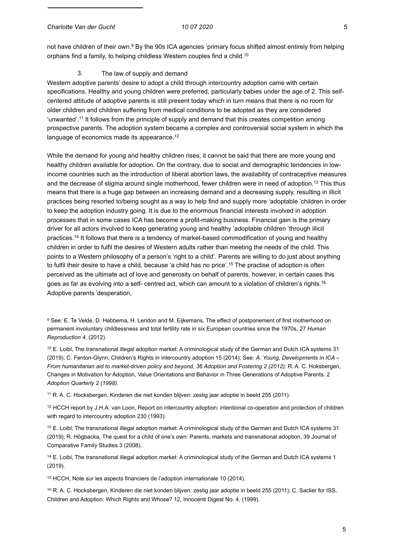*Charlotte Van der Gucht 10 07 2020* 5

not have children of their own.9 By the 90s ICA agencies 'primary focus shifted almost entirely from helping orphans find a family, to helping childless Western couples find a child.10

## 3. The law of supply and demand

Western adoptive parents' desire to adopt a child through intercountry adoption came with certain specifications. Healthy and young children were preferred, particularly babies under the age of 2. This selfcentered attitude of adoptive parents is still present today which in turn means that there is no room for older children and children suffering from medical conditions to be adopted as they are considered 'unwanted'.11 It follows from the principle of supply and demand that this creates competition among prospective parents. The adoption system became a complex and controversial social system in which the language of economics made its appearance.<sup>12</sup>

While the demand for young and healthy children rises, it cannot be said that there are more young and healthy children available for adoption. On the contrary, due to social and demographic tendencies in lowincome countries such as the introduction of liberal abortion laws, the availability of contraceptive measures and the decrease of stigma around single motherhood, fewer children were in need of adoption.13 This thus means that there is a huge gap between an increasing demand and a decreasing supply, resulting in illicit practices being resorted to/being sought as a way to help find and supply more 'adoptable 'children in order to keep the adoption industry going. It is due to the enormous financial interests involved in adoption processes that in some cases ICA has become a profit-making business. Financial gain is the primary driver for all actors involved to keep generating young and healthy 'adoptable children 'through illicit practices.14 It follows that there is a tendency of market-based commodification of young and healthy children in order to fulfil the desires of Western adults rather than meeting the needs of the child. This points to a Western philosophy of a person's 'right to a child'. Parents are willing to do just about anything to fulfil their desire to have a child, because 'a child has no price'.<sup>15</sup> The practise of adoption is often perceived as the ultimate act of love and generosity on behalf of parents, however, in certain cases this goes as far as evolving into a self- centred act, which can amount to a violation of children's rights.<sup>16</sup> Adoptive parents 'desperation,

9 See: E. Te Velde, D. Habbema, H. Leridon and M. Eijkemans, The effect of postponement of first motherhood on permanent involuntary childlessness and total fertility rate in six European countries since the 1970s, 27 *Human Reproduction 4*, (2012).

10 E. Loibl, The transnational illegal adoption market: A criminological study of the German and Dutch ICA systems 31 (2019); C. Fenton-Glynn, Children's Rights in intercountry adoption 15 (2014); See: *A. Young, Developments in ICA – From humanitarian aid to market-driven policy and beyond, 36 Adoption and Fostering 2 (2012);* R. A. C. Hoksbergen, Changes in Motivation for Adoption, Value Orientations and Behavior in Three Generations of Adoptive Parents. 2 *Adoption Quarterly 2 (1998).*

11 R. A. C. Hocksbergen, Kinderen die niet konden blijven: zestig jaar adoptie in beeld 255 (2011).

12 HCCH report by J.H.A. van Loon, Report on intercountry adoption: intentional co-operation and protection of children with regard to intercountry adoption 230 (1993).

 $13$  E. Loibl. The transnational illegal adoption market: A criminological study of the German and Dutch ICA systems 31 (2019); R. Högbacka, The quest for a child of one's own: Parents, markets and transnational adoption, 39 Journal of Comparative Family Studies 3 (2008).

<sup>14</sup> E. Loibl, The transnational illegal adoption market: A criminological study of the German and Dutch ICA systems 1 (2019).

15 HCCH, Note sur les aspects financiers de l'adoption internationale 10 (2014).

16 R. A. C. Hocksbergen, Kinderen die niet konden blijven: zestig jaar adoptie in beeld 255 (2011); C. Saclier for ISS, Children and Adoption: Which Rights and Whose? 12, Innocenti Digest No. 4, (1999).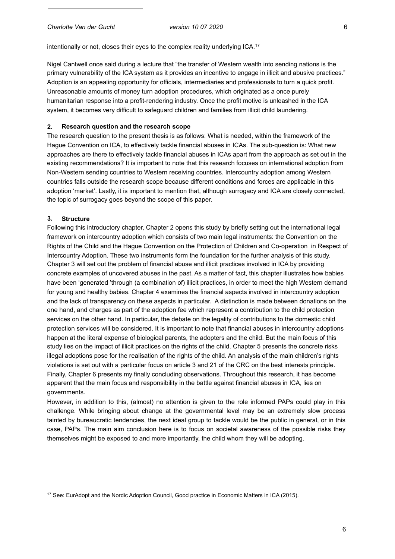intentionally or not, closes their eyes to the complex reality underlying ICA.<sup>17</sup>

Nigel Cantwell once said during a lecture that "the transfer of Western wealth into sending nations is the primary vulnerability of the ICA system as it provides an incentive to engage in illicit and abusive practices." Adoption is an appealing opportunity for officials, intermediaries and professionals to turn a quick profit. Unreasonable amounts of money turn adoption procedures, which originated as a once purely humanitarian response into a profit-rendering industry. Once the profit motive is unleashed in the ICA system, it becomes very difficult to safeguard children and families from illicit child laundering.

#### **2. Research question and the research scope**

The research question to the present thesis is as follows: What is needed, within the framework of the Hague Convention on ICA, to effectively tackle financial abuses in ICAs. The sub-question is: What new approaches are there to effectively tackle financial abuses in ICAs apart from the approach as set out in the existing recommendations? It is important to note that this research focuses on international adoption from Non-Western sending countries to Western receiving countries. Intercountry adoption among Western countries falls outside the research scope because different conditions and forces are applicable in this adoption 'market'. Lastly, it is important to mention that, although surrogacy and ICA are closely connected, the topic of surrogacy goes beyond the scope of this paper.

#### **3. Structure**

Following this introductory chapter, Chapter 2 opens this study by briefly setting out the international legal framework on intercountry adoption which consists of two main legal instruments: the Convention on the Rights of the Child and the Hague Convention on the Protection of Children and Co-operation in Respect of Intercountry Adoption. These two instruments form the foundation for the further analysis of this study. Chapter 3 will set out the problem of financial abuse and illicit practices involved in ICA by providing concrete examples of uncovered abuses in the past. As a matter of fact, this chapter illustrates how babies have been 'generated 'through (a combination of) illicit practices, in order to meet the high Western demand for young and healthy babies. Chapter 4 examines the financial aspects involved in intercountry adoption and the lack of transparency on these aspects in particular. A distinction is made between donations on the one hand, and charges as part of the adoption fee which represent a contribution to the child protection services on the other hand. In particular, the debate on the legality of contributions to the domestic child protection services will be considered. It is important to note that financial abuses in intercountry adoptions happen at the literal expense of biological parents, the adopters and the child. But the main focus of this study lies on the impact of illicit practices on the rights of the child. Chapter 5 presents the concrete risks illegal adoptions pose for the realisation of the rights of the child. An analysis of the main children's rights violations is set out with a particular focus on article 3 and 21 of the CRC on the best interests principle. Finally, Chapter 6 presents my finally concluding observations. Throughout this research, it has become apparent that the main focus and responsibility in the battle against financial abuses in ICA, lies on governments.

However, in addition to this, (almost) no attention is given to the role informed PAPs could play in this challenge. While bringing about change at the governmental level may be an extremely slow process tainted by bureaucratic tendencies, the next ideal group to tackle would be the public in general, or in this case, PAPs. The main aim conclusion here is to focus on societal awareness of the possible risks they themselves might be exposed to and more importantly, the child whom they will be adopting.

<sup>17</sup> See: EurAdopt and the Nordic Adoption Council, Good practice in Economic Matters in ICA (2015).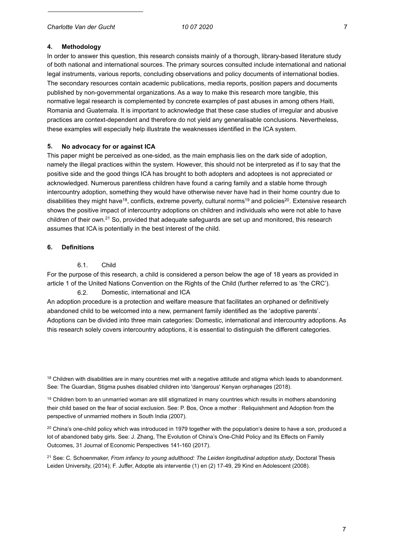# **4. Methodology**

In order to answer this question, this research consists mainly of a thorough, library-based literature study of both national and international sources. The primary sources consulted include international and national legal instruments, various reports, concluding observations and policy documents of international bodies. The secondary resources contain academic publications, media reports, position papers and documents published by non-governmental organizations. As a way to make this research more tangible, this normative legal research is complemented by concrete examples of past abuses in among others Haiti, Romania and Guatemala. It is important to acknowledge that these case studies of irregular and abusive practices are context-dependent and therefore do not yield any generalisable conclusions. Nevertheless, these examples will especially help illustrate the weaknesses identified in the ICA system.

## **5. No advocacy for or against ICA**

This paper might be perceived as one-sided, as the main emphasis lies on the dark side of adoption, namely the illegal practices within the system. However, this should not be interpreted as if to say that the positive side and the good things ICA has brought to both adopters and adoptees is not appreciated or acknowledged. Numerous parentless children have found a caring family and a stable home through intercountry adoption, something they would have otherwise never have had in their home country due to disabilities they might have<sup>18</sup>, conflicts, extreme poverty, cultural norms<sup>19</sup> and policies<sup>20</sup>. Extensive research shows the positive impact of intercountry adoptions on children and individuals who were not able to have children of their own.21 So, provided that adequate safeguards are set up and monitored, this research assumes that ICA is potentially in the best interest of the child.

#### **6. Definitions**

6.1. Child

For the purpose of this research, a child is considered a person below the age of 18 years as provided in article 1 of the United Nations Convention on the Rights of the Child (further referred to as 'the CRC').

#### 6.2. Domestic, international and ICA

An adoption procedure is a protection and welfare measure that facilitates an orphaned or definitively abandoned child to be welcomed into a new, permanent family identified as the 'adoptive parents'. Adoptions can be divided into three main categories: Domestic, international and intercountry adoptions. As this research solely covers intercountry adoptions, it is essential to distinguish the different categories.

 $18$  Children with disabilities are in many countries met with a negative attitude and stigma which leads to abandonment. See: The Guardian, Stigma pushes disabled children into 'dangerous' Kenyan orphanages (2018).

 $19$  Children born to an unmarried woman are still stigmatized in many countries which results in mothers abandoning their child based on the fear of social exclusion. See: P. Bos, Once a mother : Reliquishment and Adoption from the perspective of unmarried mothers in South India (2007).

<sup>20</sup> China's one-child policy which was introduced in 1979 together with the population's desire to have a son, produced a lot of abandoned baby girls. See: J. Zhang, The Evolution of China's One-Child Policy and Its Effects on Family Outcomes, 31 Journal of Economic Perspectives 141-160 (2017).

21 See: C. Schoenmaker, *From infancy to young adulthood: The Leiden longitudinal adoption study*, Doctoral Thesis Leiden University, (2014); F. Juffer, Adoptie als interventie (1) en (2) 17-49, 29 Kind en Adolescent (2008).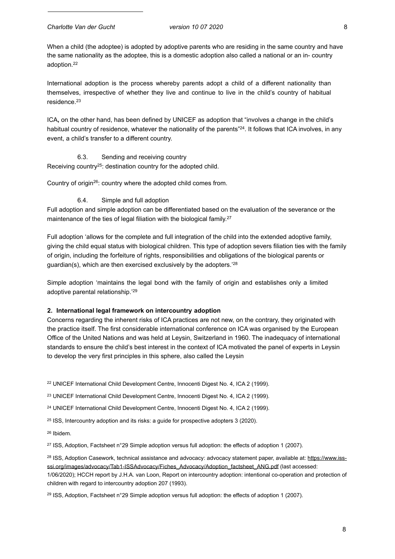When a child (the adoptee) is adopted by adoptive parents who are residing in the same country and have the same nationality as the adoptee, this is a domestic adoption also called a national or an in- country adoption.22

International adoption is the process whereby parents adopt a child of a different nationality than themselves, irrespective of whether they live and continue to live in the child's country of habitual residence.23

ICA**,** on the other hand, has been defined by UNICEF as adoption that "involves a change in the child's habitual country of residence, whatever the nationality of the parents<sup>"24</sup>. It follows that ICA involves, in any event, a child's transfer to a different country.

## 6.3. Sending and receiving country

Receiving country<sup>25</sup>: destination country for the adopted child.

Country of origin26: country where the adopted child comes from.

## 6.4. Simple and full adoption

Full adoption and simple adoption can be differentiated based on the evaluation of the severance or the maintenance of the ties of legal filiation with the biological family.<sup>27</sup>

Full adoption 'allows for the complete and full integration of the child into the extended adoptive family, giving the child equal status with biological children. This type of adoption severs filiation ties with the family of origin, including the forfeiture of rights, responsibilities and obligations of the biological parents or guardian(s), which are then exercised exclusively by the adopters.'28

Simple adoption 'maintains the legal bond with the family of origin and establishes only a limited adoptive parental relationship.'29

#### **2. International legal framework on intercountry adoption**

Concerns regarding the inherent risks of ICA practices are not new, on the contrary, they originated with the practice itself. The first considerable international conference on ICA was organised by the European Office of the United Nations and was held at Leysin, Switzerland in 1960. The inadequacy of international standards to ensure the child's best interest in the context of ICA motivated the panel of experts in Leysin to develop the very first principles in this sphere, also called the Leysin

22 UNICEF International Child Development Centre, Innocenti Digest No. 4, ICA 2 (1999).

23 UNICEF International Child Development Centre, Innocenti Digest No. 4, ICA 2 (1999).

24 UNICEF International Child Development Centre, Innocenti Digest No. 4, ICA 2 (1999).

<sup>25</sup> ISS, Intercountry adoption and its risks: a guide for prospective adopters 3 (2020).

26 Ibidem.

27 ISS, Adoption, Factsheet n°29 Simple adoption versus full adoption: the effects of adoption 1 (2007).

<sup>28</sup> ISS, Adoption Casework, technical assistance and advocacy: advocacy statement paper, available at: https://www.issssi.org/images/advocacy/Tab1-ISSAdvocacy/Fiches\_Advocacy/Adoption\_factsheet\_ANG.pdf (last accessed: 1/06/2020); HCCH report by J.H.A. van Loon, Report on intercountry adoption: intentional co-operation and protection of children with regard to intercountry adoption 207 (1993).

<sup>29</sup> ISS, Adoption, Factsheet n°29 Simple adoption versus full adoption: the effects of adoption 1 (2007).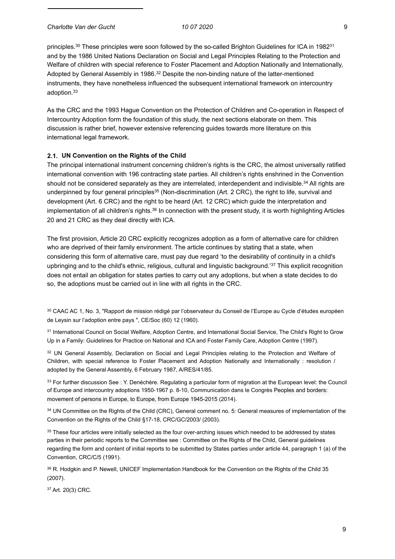*Charlotte Van der Gucht 10 07 2020* 9

principles.30 These principles were soon followed by the so-called Brighton Guidelines for ICA in 198231 and by the 1986 United Nations Declaration on Social and Legal Principles Relating to the Protection and Welfare of children with special reference to Foster Placement and Adoption Nationally and Internationally, Adopted by General Assembly in 1986.<sup>32</sup> Despite the non-binding nature of the latter-mentioned instruments, they have nonetheless influenced the subsequent international framework on intercountry adoption.33

As the CRC and the 1993 Hague Convention on the Protection of Children and Co-operation in Respect of Intercountry Adoption form the foundation of this study, the next sections elaborate on them. This discussion is rather brief, however extensive referencing guides towards more literature on this international legal framework.

## **2.1. UN Convention on the Rights of the Child**

The principal international instrument concerning children's rights is the CRC, the almost universally ratified international convention with 196 contracting state parties. All children's rights enshrined in the Convention should not be considered separately as they are interrelated, interdependent and indivisible.<sup>34</sup> All rights are underpinned by four general principles<sup>35</sup> (Non-discrimination (Art. 2 CRC), the right to life, survival and development (Art. 6 CRC) and the right to be heard (Art. 12 CRC) which guide the interpretation and implementation of all children's rights.36 In connection with the present study, it is worth highlighting Articles 20 and 21 CRC as they deal directly with ICA.

The first provision, Article 20 CRC explicitly recognizes adoption as a form of alternative care for children who are deprived of their family environment. The article continues by stating that a state, when considering this form of alternative care, must pay due regard 'to the desirability of continuity in a child's upbringing and to the child's ethnic, religious, cultural and linguistic background.<sup>'37</sup> This explicit recognition does not entail an obligation for states parties to carry out any adoptions, but when a state decides to do so, the adoptions must be carried out in line with all rights in the CRC.

30 CAAC AC 1, No. 3, "Rapport de mission rédigé par l'observateur du Conseil de l'Europe au Cycle d'études européen de Leysin sur l'adoption entre pays ", CE/Soc (60) 12 (1960).

<sup>31</sup> International Council on Social Welfare, Adoption Centre, and International Social Service, The Child's Right to Grow Up in a Family: Guidelines for Practice on National and ICA and Foster Family Care, Adoption Centre (1997).

32 UN General Assembly, Declaration on Social and Legal Principles relating to the Protection and Welfare of Children, with special reference to Foster Placement and Adoption Nationally and Internationally : resolution / adopted by the General Assembly, 6 February 1987, A/RES/41/85.

33 For further discussion See : Y. Denéchère. Regulating a particular form of migration at the European level: the Council of Europe and intercountry adoptions 1950-1967 p. 8-10, Communication dans le Congrès Peoples and borders: movement of persons in Europe, to Europe, from Europe 1945-2015 (2014).

34 UN Committee on the Rights of the Child (CRC), General comment no. 5: General measures of implementation of the Convention on the Rights of the Child §17-18, CRC/GC/2003/ (2003).

<sup>35</sup> These four articles were initially selected as the four over-arching issues which needed to be addressed by states parties in their periodic reports to the Committee see : Committee on the Rights of the Child, General guidelines regarding the form and content of initial reports to be submitted by States parties under article 44, paragraph 1 (a) of the Convention, CRC/C/5 (1991).

36 R. Hodgkin and P. Newell, UNICEF Implementation Handbook for the Convention on the Rights of the Child 35 (2007).

37 Art. 20(3) CRC.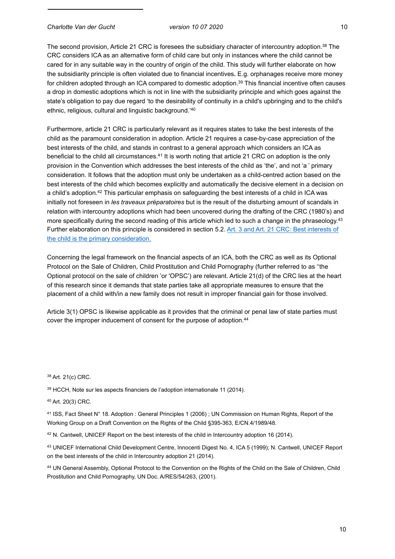The second provision, Article 21 CRC is foresees the subsidiary character of intercountry adoption.38 The CRC considers ICA as an alternative form of child care but only in instances where the child cannot be cared for in any suitable way in the country of origin of the child. This study will further elaborate on how the subsidiarity principle is often violated due to financial incentives**.** E.g. orphanages receive more money for children adopted through an ICA compared to domestic adoption.<sup>39</sup> This financial incentive often causes a drop in domestic adoptions which is not in line with the subsidiarity principle and which goes against the state's obligation to pay due regard 'to the desirability of continuity in a child's upbringing and to the child's ethnic, religious, cultural and linguistic background.'40

Furthermore, article 21 CRC is particularly relevant as it requires states to take the best interests of the child as the paramount consideration in adoption. Article 21 requires a case-by-case appreciation of the best interests of the child, and stands in contrast to a general approach which considers an ICA as beneficial to the child all circumstances.<sup>41</sup> It is worth noting that article 21 CRC on adoption is the only provision in the Convention which addresses the best interests of the child as 'the', and not 'a ' primary consideration. It follows that the adoption must only be undertaken as a child-centred action based on the best interests of the child which becomes explicitly and automatically the decisive element in a decision on a child's adoption.42 This particular emphasis on safeguarding the best interests of a child in ICA was initially not foreseen in *les traveaux préparatoires* but is the result of the disturbing amount of scandals in relation with intercountry adoptions which had been uncovered during the drafting of the CRC (1980's) and more specifically during the second reading of this article which led to such a change in the phraseology.<sup>43</sup> Further elaboration on this principle is considered in section 5.2. Art. 3 and Art. 21 CRC: Best interests of the child is the primary consideration.

Concerning the legal framework on the financial aspects of an ICA, both the CRC as well as its Optional Protocol on the Sale of Children, Child Prostitution and Child Pornography (further referred to as ''the Optional protocol on the sale of children 'or 'OPSC') are relevant. Article 21(d) of the CRC lies at the heart of this research since it demands that state parties take all appropriate measures to ensure that the placement of a child with/in a new family does not result in improper financial gain for those involved.

Article 3(1) OPSC is likewise applicable as it provides that the criminal or penal law of state parties must cover the improper inducement of consent for the purpose of adoption.<sup>44</sup>

38 Art. 21(c) CRC.

39 HCCH, Note sur les aspects financiers de l'adoption internationale 11 (2014).

40 Art. 20(3) CRC.

41 ISS, Fact Sheet N° 18. Adoption : General Principles 1 (2006) ; UN Commission on Human Rights, Report of the Working Group on a Draft Convention on the Rights of the Child §395-363, E/CN.4/1989/48.

42 N. Cantwell, UNICEF Report on the best interests of the child in Intercountry adoption 16 (2014).

43 UNICEF International Child Development Centre, Innocenti Digest No. 4, ICA 5 (1999); N. Cantwell, UNICEF Report on the best interests of the child in Intercountry adoption 21 (2014).

44 UN General Assembly, Optional Protocol to the Convention on the Rights of the Child on the Sale of Children, Child Prostitution and Child Pornography, UN Doc. A/RES/54/263, (2001).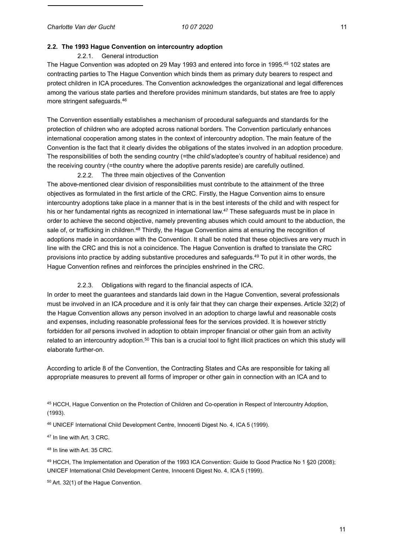#### **2.2. The 1993 Hague Convention on intercountry adoption**

#### 2.2.1. General introduction

The Hague Convention was adopted on 29 May 1993 and entered into force in 1995.45 102 states are contracting parties to The Hague Convention which binds them as primary duty bearers to respect and protect children in ICA procedures. The Convention acknowledges the organizational and legal differences among the various state parties and therefore provides minimum standards, but states are free to apply more stringent safeguards.46

The Convention essentially establishes a mechanism of procedural safeguards and standards for the protection of children who are adopted across national borders. The Convention particularly enhances international cooperation among states in the context of intercountry adoption. The main feature of the Convention is the fact that it clearly divides the obligations of the states involved in an adoption procedure. The responsibilities of both the sending country (=the child's/adoptee's country of habitual residence) and the receiving country (=the country where the adoptive parents reside) are carefully outlined.

2.2.2. The three main objectives of the Convention

The above-mentioned clear division of responsibilities must contribute to the attainment of the three objectives as formulated in the first article of the CRC. Firstly, the Hague Convention aims to ensure intercountry adoptions take place in a manner that is in the best interests of the child and with respect for his or her fundamental rights as recognized in international law.<sup>47</sup> These safeguards must be in place in order to achieve the second objective, namely preventing abuses which could amount to the abduction, the sale of, or trafficking in children.<sup>48</sup> Thirdly, the Hague Convention aims at ensuring the recognition of adoptions made in accordance with the Convention. It shall be noted that these objectives are very much in line with the CRC and this is not a coincidence. The Hague Convention is drafted to translate the CRC provisions into practice by adding substantive procedures and safeguards.49 To put it in other words, the Hague Convention refines and reinforces the principles enshrined in the CRC.

2.2.3. Obligations with regard to the financial aspects of ICA.

In order to meet the guarantees and standards laid down in the Hague Convention, several professionals must be involved in an ICA procedure and it is only fair that they can charge their expenses. Article 32(2) of the Hague Convention allows any person involved in an adoption to charge lawful and reasonable costs and expenses, including reasonable professional fees for the services provided. It is however strictly forbidden for *all* persons involved in adoption to obtain improper financial or other gain from an activity related to an intercountry adoption.50 This ban is a crucial tool to fight illicit practices on which this study will elaborate further-on.

According to article 8 of the Convention, the Contracting States and CAs are responsible for taking all appropriate measures to prevent all forms of improper or other gain in connection with an ICA and to

45 HCCH, Hague Convention on the Protection of Children and Co-operation in Respect of Intercountry Adoption, (1993).

46 UNICEF International Child Development Centre, Innocenti Digest No. 4, ICA 5 (1999).

47 In line with Art. 3 CRC.

48 In line with Art. 35 CRC.

49 HCCH, The Implementation and Operation of the 1993 ICA Convention: Guide to Good Practice No 1 §20 (2008); UNICEF International Child Development Centre, Innocenti Digest No. 4, ICA 5 (1999).

50 Art. 32(1) of the Hague Convention.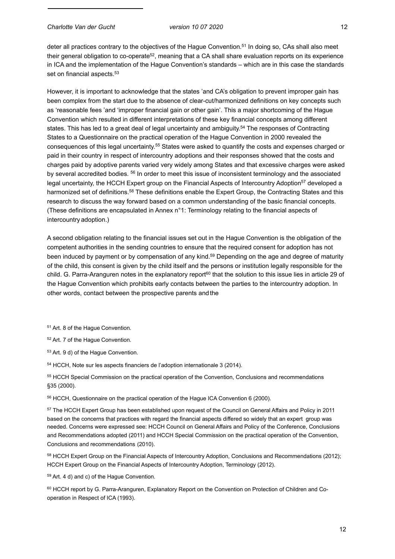deter all practices contrary to the objectives of the Hague Convention.51 In doing so, CAs shall also meet their general obligation to co-operate<sup>52</sup>, meaning that a CA shall share evaluation reports on its experience in ICA and the implementation of the Hague Convention's standards – which are in this case the standards set on financial aspects.<sup>53</sup>

However, it is important to acknowledge that the states 'and CA's obligation to prevent improper gain has been complex from the start due to the absence of clear-cut/harmonized definitions on key concepts such as 'reasonable fees 'and 'improper financial gain or other gain'. This a major shortcoming of the Hague Convention which resulted in different interpretations of these key financial concepts among different states. This has led to a great deal of legal uncertainty and ambiguity.<sup>54</sup> The responses of Contracting States to a Questionnaire on the practical operation of the Hague Convention in 2000 revealed the consequences of this legal uncertainty.55 States were asked to quantify the costs and expenses charged or paid in their country in respect of intercountry adoptions and their responses showed that the costs and charges paid by adoptive parents varied very widely among States and that excessive charges were asked by several accredited bodies. 56 In order to meet this issue of inconsistent terminology and the associated legal uncertainty, the HCCH Expert group on the Financial Aspects of Intercountry Adoption<sup>57</sup> developed a harmonized set of definitions.<sup>58</sup> These definitions enable the Expert Group, the Contracting States and this research to discuss the way forward based on a common understanding of the basic financial concepts. (These definitions are encapsulated in Annex n°1: Terminology relating to the financial aspects of intercountry adoption.)

A second obligation relating to the financial issues set out in the Hague Convention is the obligation of the competent authorities in the sending countries to ensure that the required consent for adoption has not been induced by payment or by compensation of any kind.<sup>59</sup> Depending on the age and degree of maturity of the child, this consent is given by the child itself and the persons or institution legally responsible for the child. G. Parra-Aranguren notes in the explanatory report $60$  that the solution to this issue lies in article 29 of the Hague Convention which prohibits early contacts between the parties to the intercountry adoption. In other words, contact between the prospective parents andthe

51 Art. 8 of the Hague Convention.

52 Art. 7 of the Hague Convention.

53 Art. 9 d) of the Hague Convention.

54 HCCH, Note sur les aspects financiers de l'adoption internationale 3 (2014).

55 HCCH Special Commission on the practical operation of the Convention, Conclusions and recommendations §35 (2000).

56 HCCH, Questionnaire on the practical operation of the Hague ICA Convention 6 (2000).

57 The HCCH Expert Group has been established upon request of the Council on General Affairs and Policy in 2011 based on the concerns that practices with regard the financial aspects differed so widely that an expert group was needed. Concerns were expressed see: HCCH Council on General Affairs and Policy of the Conference, Conclusions and Recommendations adopted (2011) and HCCH Special Commission on the practical operation of the Convention, Conclusions and recommendations (2010).

58 HCCH Expert Group on the Financial Aspects of Intercountry Adoption, Conclusions and Recommendations (2012); HCCH Expert Group on the Financial Aspects of Intercountry Adoption, Terminology (2012).

59 Art. 4 d) and c) of the Hague Convention.

60 HCCH report by G. Parra-Aranguren, Explanatory Report on the Convention on Protection of Children and Cooperation in Respect of ICA (1993).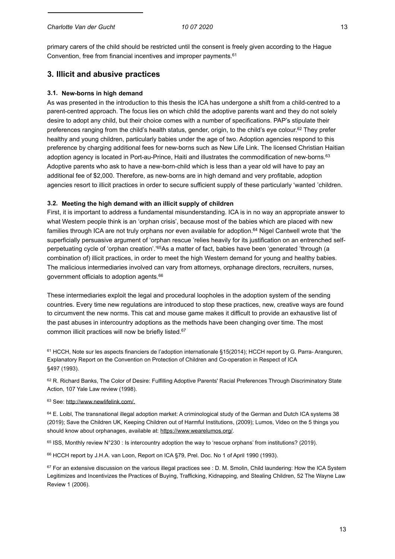primary carers of the child should be restricted until the consent is freely given according to the Hague Convention, free from financial incentives and improper payments.<sup>61</sup>

# **3. Illicit and abusive practices**

# **3.1. New-borns in high demand**

As was presented in the introduction to this thesis the ICA has undergone a shift from a child-centred to a parent-centred approach. The focus lies on which child the adoptive parents want and they do not solely desire to adopt any child, but their choice comes with a number of specifications. PAP's stipulate their preferences ranging from the child's health status, gender, origin, to the child's eye colour.<sup>62</sup> They prefer healthy and young children, particularly babies under the age of two. Adoption agencies respond to this preference by charging additional fees for new-borns such as New Life Link. The licensed Christian Haitian adoption agency is located in Port-au-Prince, Haiti and illustrates the commodification of new-borns.<sup>63</sup> Adoptive parents who ask to have a new-born-child which is less than a year old will have to pay an additional fee of \$2,000. Therefore, as new-borns are in high demand and very profitable, adoption agencies resort to illicit practices in order to secure sufficient supply of these particularly 'wanted 'children.

# **3.2. Meeting the high demand with an illicit supply of children**

First, it is important to address a fundamental misunderstanding. ICA is in no way an appropriate answer to what Western people think is an 'orphan crisis', because most of the babies which are placed with new families through ICA are not truly orphans nor even available for adoption.64 Nigel Cantwell wrote that 'the superficially persuasive argument of 'orphan rescue 'relies heavily for its justification on an entrenched selfperpetuating cycle of 'orphan creation'.'65As a matter of fact, babies have been 'generated 'through (a combination of) illicit practices, in order to meet the high Western demand for young and healthy babies. The malicious intermediaries involved can vary from attorneys, orphanage directors, recruiters, nurses, government officials to adoption agents.66

These intermediaries exploit the legal and procedural loopholes in the adoption system of the sending countries. Every time new regulations are introduced to stop these practices, new, creative ways are found to circumvent the new norms. This cat and mouse game makes it difficult to provide an exhaustive list of the past abuses in intercountry adoptions as the methods have been changing over time. The most common illicit practices will now be briefly listed.67

<sup>61</sup> HCCH, Note sur les aspects financiers de l'adoption internationale §15(2014); HCCH report by G. Parra- Aranguren, Explanatory Report on the Convention on Protection of Children and Co-operation in Respect of ICA §497 (1993).

62 R. Richard Banks, The Color of Desire: Fulfilling Adoptive Parents' Racial Preferences Through Discriminatory State Action, 107 Yale Law review (1998).

# 63 See: [http://www.newlifelink.com/.](http://www.newlifelink.com/)

64 E. Loibl, The transnational illegal adoption market: A criminological study of the German and Dutch ICA systems 38 (2019); Save the Children UK, Keeping Children out of Harmful Institutions, (2009); Lumos, Video on the 5 things you should know about orphanages, available at: https:/[/www.wearelumos.org/.](http://www.wearelumos.org/)

65 ISS, Monthly review N°230 : Is intercountry adoption the way to 'rescue orphans' from institutions? (2019).

66 HCCH report by J.H.A. van Loon, Report on ICA §79, Prel. Doc. No 1 of April 1990 (1993).

 $67$  For an extensive discussion on the various illegal practices see : D. M. Smolin, Child laundering: How the ICA System Legitimizes and Incentivizes the Practices of Buying, Trafficking, Kidnapping, and Stealing Children, 52 The Wayne Law Review 1 (2006).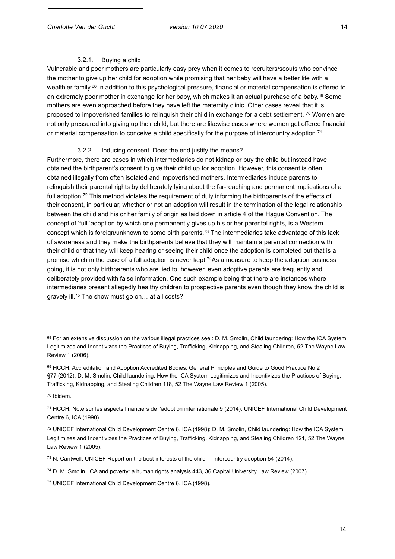## 3.2.1. Buying a child

Vulnerable and poor mothers are particularly easy prey when it comes to recruiters/scouts who convince the mother to give up her child for adoption while promising that her baby will have a better life with a wealthier family.<sup>68</sup> In addition to this psychological pressure, financial or material compensation is offered to an extremely poor mother in exchange for her baby, which makes it an actual purchase of a baby.69 Some mothers are even approached before they have left the maternity clinic. Other cases reveal that it is proposed to impoverished families to relinquish their child in exchange for a debt settlement. <sup>70</sup> Women are not only pressured into giving up their child, but there are likewise cases where women get offered financial or material compensation to conceive a child specifically for the purpose of intercountry adoption.<sup>71</sup>

## 3.2.2. Inducing consent. Does the end justify the means?

Furthermore, there are cases in which intermediaries do not kidnap or buy the child but instead have obtained the birthparent's consent to give their child up for adoption. However, this consent is often obtained illegally from often isolated and impoverished mothers. Intermediaries induce parents to relinquish their parental rights by deliberately lying about the far-reaching and permanent implications of a full adoption.<sup>72</sup> This method violates the requirement of duly informing the birthparents of the effects of their consent, in particular, whether or not an adoption will result in the termination of the legal relationship between the child and his or her family of origin as laid down in article 4 of the Hague Convention. The concept of 'full 'adoption by which one permanently gives up his or her parental rights, is a Western concept which is foreign/unknown to some birth parents.73 The intermediaries take advantage of this lack of awareness and they make the birthparents believe that they will maintain a parental connection with their child or that they will keep hearing or seeing their child once the adoption is completed but that is a promise which in the case of a full adoption is never kept.74As a measure to keep the adoption business going, it is not only birthparents who are lied to, however, even adoptive parents are frequently and deliberately provided with false information. One such example being that there are instances where intermediaries present allegedly healthy children to prospective parents even though they know the child is gravely ill.75 The show must go on… at all costs?

68 For an extensive discussion on the various illegal practices see : D. M. Smolin, Child laundering: How the ICA System Legitimizes and Incentivizes the Practices of Buying, Trafficking, Kidnapping, and Stealing Children, 52 The Wayne Law Review 1 (2006).

69 HCCH, Accreditation and Adoption Accredited Bodies: General Principles and Guide to Good Practice No 2 §77 (2012); D. M. Smolin, Child laundering: How the ICA System Legitimizes and Incentivizes the Practices of Buying, Trafficking, Kidnapping, and Stealing Children 118, 52 The Wayne Law Review 1 (2005).

70 Ibidem.

71 HCCH, Note sur les aspects financiers de l'adoption internationale 9 (2014); UNICEF International Child Development Centre 6, ICA (1998).

72 UNICEF International Child Development Centre 6, ICA (1998); D. M. Smolin, Child laundering: How the ICA System Legitimizes and Incentivizes the Practices of Buying, Trafficking, Kidnapping, and Stealing Children 121, 52 The Wayne Law Review 1 (2005).

73 N. Cantwell, UNICEF Report on the best interests of the child in Intercountry adoption 54 (2014).

74 D. M. Smolin, ICA and poverty: a human rights analysis 443, 36 Capital University Law Review (2007).

75 UNICEF International Child Development Centre 6, ICA (1998).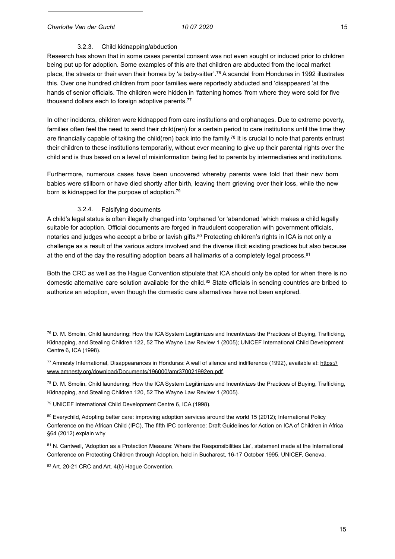# 3.2.3. Child kidnapping/abduction

Research has shown that in some cases parental consent was not even sought or induced prior to children being put up for adoption. Some examples of this are that children are abducted from the local market place, the streets or their even their homes by 'a baby-sitter'.76 A scandal from Honduras in 1992 illustrates this. Over one hundred children from poor families were reportedly abducted and 'disappeared 'at the hands of senior officials. The children were hidden in 'fattening homes 'from where they were sold for five thousand dollars each to foreign adoptive parents.<sup>77</sup>

In other incidents, children were kidnapped from care institutions and orphanages. Due to extreme poverty, families often feel the need to send their child(ren) for a certain period to care institutions until the time they are financially capable of taking the child(ren) back into the family.<sup>78</sup> It is crucial to note that parents entrust their children to these institutions temporarily, without ever meaning to give up their parental rights over the child and is thus based on a level of misinformation being fed to parents by intermediaries and institutions.

Furthermore, numerous cases have been uncovered whereby parents were told that their new born babies were stillborn or have died shortly after birth, leaving them grieving over their loss, while the new born is kidnapped for the purpose of adoption.79

#### 3.2.4. Falsifying documents

A child's legal status is often illegally changed into 'orphaned 'or 'abandoned 'which makes a child legally suitable for adoption. Official documents are forged in fraudulent cooperation with government officials, notaries and judges who accept a bribe or lavish gifts.<sup>80</sup> Protecting children's rights in ICA is not only a challenge as a result of the various actors involved and the diverse illicit existing practices but also because at the end of the day the resulting adoption bears all hallmarks of a completely legal process.<sup>81</sup>

Both the CRC as well as the Hague Convention stipulate that ICA should only be opted for when there is no domestic alternative care solution available for the child.<sup>82</sup> State officials in sending countries are bribed to authorize an adoption, even though the domestic care alternatives have not been explored.

 $76$  D. M. Smolin, Child laundering: How the ICA System Legitimizes and Incentivizes the Practices of Buying, Trafficking, Kidnapping, and Stealing Children 122, 52 The Wayne Law Review 1 (2005); UNICEF International Child Development Centre 6, ICA (1998).

77 Amnesty International, Disappearances in Honduras: A wall of silence and indifference (1992), available at: https:// [www.amnesty.org/download/Documents/196000/amr370021992en.pdf.](http://www.amnesty.org/download/Documents/196000/amr370021992en.pdf)

 $78$  D. M. Smolin, Child laundering: How the ICA System Legitimizes and Incentivizes the Practices of Buying, Trafficking, Kidnapping, and Stealing Children 120, 52 The Wayne Law Review 1 (2005).

79 UNICEF International Child Development Centre 6, ICA (1998).

80 Everychild, Adopting better care: improving adoption services around the world 15 (2012); International Policy Conference on the African Child (IPC), The fifth IPC conference: Draft Guidelines for Action on ICA of Children in Africa §64 (2012).explain why

81 N. Cantwell, 'Adoption as a Protection Measure: Where the Responsibilities Lie', statement made at the International Conference on Protecting Children through Adoption, held in Bucharest, 16-17 October 1995, UNICEF, Geneva.

82 Art. 20-21 CRC and Art. 4(b) Hague Convention.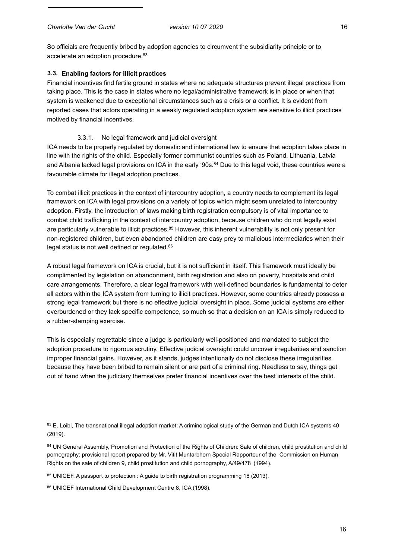So officials are frequently bribed by adoption agencies to circumvent the subsidiarity principle or to accelerate an adoption procedure.83

# **3.3. Enabling factors for illicit practices**

Financial incentives find fertile ground in states where no adequate structures prevent illegal practices from taking place. This is the case in states where no legal/administrative framework is in place or when that system is weakened due to exceptional circumstances such as a crisis or a conflict. It is evident from reported cases that actors operating in a weakly regulated adoption system are sensitive to illicit practices motived by financial incentives.

## 3.3.1. No legal framework and judicial oversight

ICA needs to be properly regulated by domestic and international law to ensure that adoption takes place in line with the rights of the child. Especially former communist countries such as Poland, Lithuania, Latvia and Albania lacked legal provisions on ICA in the early '90s.<sup>84</sup> Due to this legal void, these countries were a favourable climate for illegal adoption practices.

To combat illicit practices in the context of intercountry adoption, a country needs to complement its legal framework on ICA with legal provisions on a variety of topics which might seem unrelated to intercountry adoption. Firstly, the introduction of laws making birth registration compulsory is of vital importance to combat child trafficking in the context of intercountry adoption, because children who do not legally exist are particularly vulnerable to illicit practices.<sup>85</sup> However, this inherent vulnerability is not only present for non-registered children, but even abandoned children are easy prey to malicious intermediaries when their legal status is not well defined or regulated.<sup>86</sup>

A robust legal framework on ICA is crucial, but it is not sufficient in itself. This framework must ideally be complimented by legislation on abandonment, birth registration and also on poverty, hospitals and child care arrangements. Therefore, a clear legal framework with well-defined boundaries is fundamental to deter all actors within the ICA system from turning to illicit practices. However, some countries already possess a strong legal framework but there is no effective judicial oversight in place. Some judicial systems are either overburdened or they lack specific competence, so much so that a decision on an ICA is simply reduced to a rubber-stamping exercise.

This is especially regrettable since a judge is particularly well-positioned and mandated to subject the adoption procedure to rigorous scrutiny. Effective judicial oversight could uncover irregularities and sanction improper financial gains. However, as it stands, judges intentionally do not disclose these irregularities because they have been bribed to remain silent or are part of a criminal ring. Needless to say, things get out of hand when the judiciary themselves prefer financial incentives over the best interests of the child.

83 E. Loibl, The transnational illegal adoption market: A criminological study of the German and Dutch ICA systems 40 (2019).

84 UN General Assembly, Promotion and Protection of the Rights of Children: Sale of children, child prostitution and child pornography: provisional report prepared by Mr. Vitit Muntarbhorn Special Rapporteur of the Commission on Human Rights on the sale of children 9, child prostitution and child pornography, A/49/478 (1994).

85 UNICEF, A passport to protection : A guide to birth registration programming 18 (2013).

86 UNICEF International Child Development Centre 8, ICA (1998).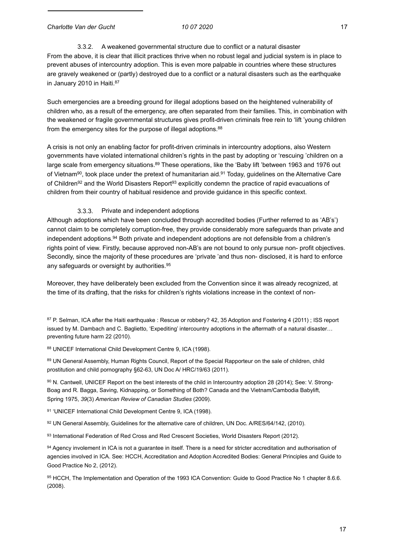3.3.2. A weakened governmental structure due to conflict or a natural disaster From the above, it is clear that illicit practices thrive when no robust legal and judicial system is in place to prevent abuses of intercountry adoption. This is even more palpable in countries where these structures are gravely weakened or (partly) destroyed due to a conflict or a natural disasters such as the earthquake in January 2010 in Haiti.<sup>87</sup>

Such emergencies are a breeding ground for illegal adoptions based on the heightened vulnerability of children who, as a result of the emergency, are often separated from their families. This, in combination with the weakened or fragile governmental structures gives profit-driven criminals free rein to 'lift 'young children from the emergency sites for the purpose of illegal adoptions.<sup>88</sup>

A crisis is not only an enabling factor for profit-driven criminals in intercountry adoptions, also Western governments have violated international children's rights in the past by adopting or 'rescuing 'children on a large scale from emergency situations.<sup>89</sup> These operations, like the 'Baby lift 'between 1963 and 1976 out of Vietnam<sup>90</sup>, took place under the pretext of humanitarian aid.<sup>91</sup> Today, quidelines on the Alternative Care of Children<sup>92</sup> and the World Disasters Report<sup>93</sup> explicitly condemn the practice of rapid evacuations of children from their country of habitual residence and provide guidance in this specific context.

## 3.3.3. Private and independent adoptions

Although adoptions which have been concluded through accredited bodies (Further referred to as 'AB's') cannot claim to be completely corruption-free, they provide considerably more safeguards than private and independent adoptions.<sup>94</sup> Both private and independent adoptions are not defensible from a children's rights point of view. Firstly, because approved non-AB's are not bound to only pursue non- profit objectives. Secondly, since the majority of these procedures are 'private 'and thus non- disclosed, it is hard to enforce any safeguards or oversight by authorities.<sup>95</sup>

Moreover, they have deliberately been excluded from the Convention since it was already recognized, at the time of its drafting, that the risks for children's rights violations increase in the context of non-

87 P. Selman, ICA after the Haiti earthquake : Rescue or robbery? 42, 35 Adoption and Fostering 4 (2011) ; ISS report issued by M. Dambach and C. Baglietto, 'Expediting' intercountry adoptions in the aftermath of a natural disaster… preventing future harm 22 (2010).

88 UNICEF International Child Development Centre 9, ICA (1998).

89 UN General Assembly, Human Rights Council, Report of the Special Rapporteur on the sale of children, child prostitution and child pornography §62-63, UN Doc A/ HRC/19/63 (2011).

90 N. Cantwell, UNICEF Report on the best interests of the child in Intercountry adoption 28 (2014); See: V. Strong-Boag and R. Bagga, Saving, Kidnapping, or Something of Both? Canada and the Vietnam/Cambodia Babylift, Spring 1975, *39*(3) *American Review of Canadian Studies* (2009).

91 'UNICEF International Child Development Centre 9, ICA (1998).

92 UN General Assembly, Guidelines for the alternative care of children, UN Doc. A/RES/64/142, (2010).

93 International Federation of Red Cross and Red Crescent Societies, World Disasters Report (2012).

94 Agency involement in ICA is not a guarantee in itself. There is a need for stricter accreditation and authorisation of agencies involved in ICA. See: HCCH, Accreditation and Adoption Accredited Bodies: General Principles and Guide to Good Practice No 2, (2012).

95 HCCH. The Implementation and Operation of the 1993 ICA Convention: Guide to Good Practice No 1 chapter 8.6.6. (2008).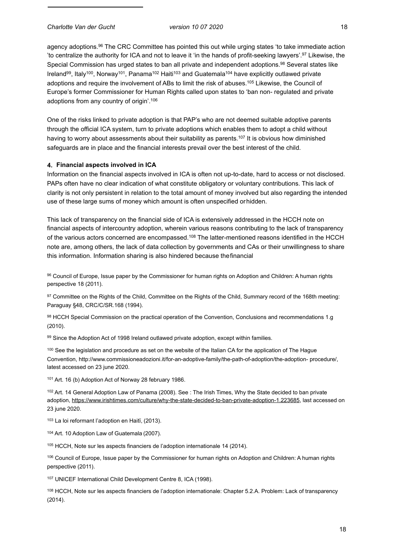agency adoptions.96 The CRC Committee has pointed this out while urging states 'to take immediate action 'to centralize the authority for ICA and not to leave it 'in the hands of profit-seeking lawyers'.97 Likewise, the Special Commission has urged states to ban all private and independent adoptions.<sup>98</sup> Several states like Ireland<sup>99</sup>, Italy<sup>100</sup>, Norway<sup>101</sup>, Panama<sup>102</sup> Haiti<sup>103</sup> and Guatemala<sup>104</sup> have explicitly outlawed private adoptions and require the involvement of ABs to limit the risk of abuses.105 Likewise, the Council of Europe's former Commissioner for Human Rights called upon states to 'ban non- regulated and private adoptions from any country of origin'.106

One of the risks linked to private adoption is that PAP's who are not deemed suitable adoptive parents through the official ICA system, turn to private adoptions which enables them to adopt a child without having to worry about assessments about their suitability as parents.<sup>107</sup> It is obvious how diminished safeguards are in place and the financial interests prevail over the best interest of the child.

### **4. Financial aspects involved in ICA**

Information on the financial aspects involved in ICA is often not up-to-date, hard to access or not disclosed. PAPs often have no clear indication of what constitute obligatory or voluntary contributions. This lack of clarity is not only persistent in relation to the total amount of money involved but also regarding the intended use of these large sums of money which amount is often unspecified orhidden.

This lack of transparency on the financial side of ICA is extensively addressed in the HCCH note on financial aspects of intercountry adoption, wherein various reasons contributing to the lack of transparency of the various actors concerned are encompassed.<sup>108</sup> The latter-mentioned reasons identified in the HCCH note are, among others, the lack of data collection by governments and CAs or their unwillingness to share this information. Information sharing is also hindered because thefinancial

96 Council of Europe, Issue paper by the Commissioner for human rights on Adoption and Children: A human rights perspective 18 (2011).

97 Committee on the Rights of the Child, Committee on the Rights of the Child, Summary record of the 168th meeting: Paraguay §48, CRC/C/SR.168 (1994).

98 HCCH Special Commission on the practical operation of the Convention, Conclusions and recommendations 1.g (2010).

99 Since the Adoption Act of 1998 Ireland outlawed private adoption, except within families.

<sup>100</sup> See the legislation and procedure as set on the website of the Italian CA for the application of The Hague Convention, <http://www.commissioneadozioni.it/for-an-adoptive-family/the-path-of-adoption/the-adoption-> procedure/, latest accessed on 23 june 2020.

101 Art. 16 (b) Adoption Act of Norway 28 february 1986.

102 Art. 14 General Adoption Law of Panama (2008). See : The Irish Times, Why the State decided to ban private adoption, https://[www.irishtimes.com/culture/why-the-state-decided-to-ban-private-adoption-1.223685,](http://www.irishtimes.com/culture/why-the-state-decided-to-ban-private-adoption-1.223685) last accessed on 23 june 2020.

103 La loi reformant l'adoption en Haitï, (2013).

104 Art. 10 Adoption Law of Guatemala (2007).

105 HCCH, Note sur les aspects financiers de l'adoption internationale 14 (2014).

106 Council of Europe, Issue paper by the Commissioner for human rights on Adoption and Children: A human rights perspective (2011).

107 UNICEF International Child Development Centre 8, ICA (1998).

108 HCCH, Note sur les aspects financiers de l'adoption internationale: Chapter 5.2.A. Problem: Lack of transparency (2014).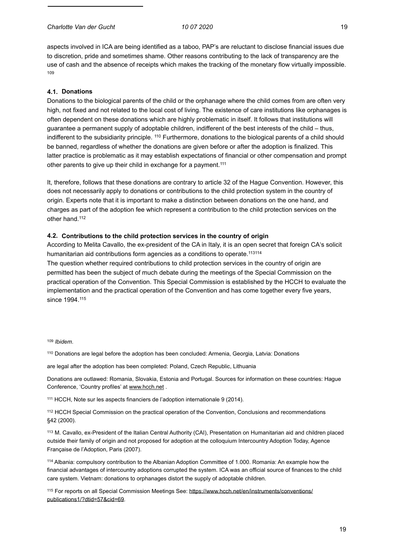*Charlotte Van der Gucht 10 07 2020* 19

aspects involved in ICA are being identified as a taboo, PAP's are reluctant to disclose financial issues due to discretion, pride and sometimes shame. Other reasons contributing to the lack of transparency are the use of cash and the absence of receipts which makes the tracking of the monetary flow virtually impossible. 109

#### **4.1. Donations**

Donations to the biological parents of the child or the orphanage where the child comes from are often very high, not fixed and not related to the local cost of living. The existence of care institutions like orphanages is often dependent on these donations which are highly problematic in itself. It follows that institutions will guarantee a permanent supply of adoptable children, indifferent of the best interests of the child – thus, indifferent to the subsidiarity principle. <sup>110</sup> Furthermore, donations to the biological parents of a child should be banned, regardless of whether the donations are given before or after the adoption is finalized. This latter practice is problematic as it may establish expectations of financial or other compensation and prompt other parents to give up their child in exchange for a payment.<sup>111</sup>

It, therefore, follows that these donations are contrary to article 32 of the Hague Convention. However, this does not necessarily apply to donations or contributions to the child protection system in the country of origin. Experts note that it is important to make a distinction between donations on the one hand, and charges as part of the adoption fee which represent a contribution to the child protection services on the other hand.112

#### **4.2. Contributions to the child protection services in the country of origin**

According to Melita Cavallo, the ex-president of the CA in Italy, it is an open secret that foreign CA's solicit humanitarian aid contributions form agencies as a conditions to operate.<sup>113114</sup>

The question whether required contributions to child protection services in the country of origin are permitted has been the subject of much debate during the meetings of the Special Commission on the practical operation of the Convention. This Special Commission is established by the HCCH to evaluate the implementation and the practical operation of the Convention and has come together every five years, since 1994.<sup>115</sup>

## <sup>109</sup> *Ibidem*.

110 Donations are legal before the adoption has been concluded: Armenia, Georgia, Latvia: Donations

are legal after the adoption has been completed: Poland, Czech Republic, Lithuania

Donations are outlawed: Romania, Slovakia, Estonia and Portugal. Sources for information on these countries: Hague Conference, 'Country profiles' at [www.hcch.net .](http://www.hcch.net/)

111 HCCH, Note sur les aspects financiers de l'adoption internationale 9 (2014).

112 HCCH Special Commission on the practical operation of the Convention, Conclusions and recommendations §42 (2000).

113 M. Cavallo, ex-President of the Italian Central Authority (CAI), Presentation on Humanitarian aid and children placed outside their family of origin and not proposed for adoption at the colloquium Intercountry Adoption Today, Agence Française de l'Adoption, Paris (2007).

114 Albania: compulsory contribution to the Albanian Adoption Committee of 1.000. Romania: An example how the financial advantages of intercountry adoptions corrupted the system. ICA was an official source of finances to the child care system. Vietnam: donations to orphanages distort the supply of adoptable children.

[115 For reports on all Special Commission Meetings See: https://www.hcch.net/en/instruments/conventions/](http://www.hcch.net/en/instruments/conventions/publications1/?dtid=57&cid=69) publications1/?dtid=57&cid=69.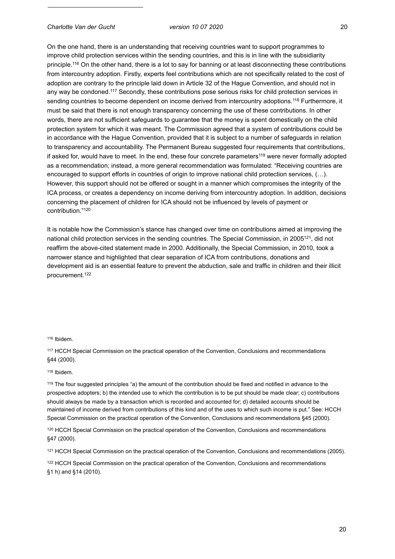On the one hand, there is an understanding that receiving countries want to support programmes to improve child protection services within the sending countries, and this is in line with the subsidiarity principle.116 On the other hand, there is a lot to say for banning or at least disconnecting these contributions from intercountry adoption. Firstly, experts feel contributions which are not specifically related to the cost of adoption are contrary to the principle laid down in Article 32 of the Hague Convention, and should not in any way be condoned.<sup>117</sup> Secondly, these contributions pose serious risks for child protection services in sending countries to become dependent on income derived from intercountry adoptions.<sup>118</sup> Furthermore, it must be said that there is not enough transparency concerning the use of these contributions. In other words, there are not sufficient safeguards to guarantee that the money is spent domestically on the child protection system for which it was meant. The Commission agreed that a system of contributions could be in accordance with the Hague Convention, provided that it is subject to a number of safeguards in relation to transparency and accountability. The Permanent Bureau suggested four requirements that contributions, if asked for, would have to meet. In the end, these four concrete parameters<sup>119</sup> were never formally adopted as a recommendation; instead, a more general recommendation was formulated: "Receiving countries are encouraged to support efforts in countries of origin to improve national child protection services, (…). However, this support should not be offered or sought in a manner which compromises the integrity of the ICA process, or creates a dependency on income deriving from intercountry adoption. In addition, decisions concerning the placement of children for ICA should not be influenced by levels of payment or contribution."120

It is notable how the Commission's stance has changed over time on contributions aimed at improving the national child protection services in the sending countries. The Special Commission, in 2005<sup>121</sup>, did not reaffirm the above-cited statement made in 2000. Additionally, the Special Commission, in 2010, took a narrower stance and highlighted that clear separation of ICA from contributions, donations and development aid is an essential feature to prevent the abduction, sale and traffic in children and their illicit procurement.122

116 Ibidem.

117 HCCH Special Commission on the practical operation of the Convention, Conclusions and recommendations §44 (2000).

#### 118 Ibidem.

119 The four suggested principles "a) the amount of the contribution should be fixed and notified in advance to the prospective adopters; b) the intended use to which the contribution is to be put should be made clear; c) contributions should always be made by a transaction which is recorded and accounted for; d) detailed accounts should be maintained of income derived from contributions of this kind and of the uses to which such income is put." See: HCCH Special Commission on the practical operation of the Convention, Conclusions and recommendations §45 (2000).

<sup>120</sup> HCCH Special Commission on the practical operation of the Convention, Conclusions and recommendations §47 (2000).

121 HCCH Special Commission on the practical operation of the Convention, Conclusions and recommendations (2005).

<sup>122</sup> HCCH Special Commission on the practical operation of the Convention, Conclusions and recommendations §1 h) and §14 (2010).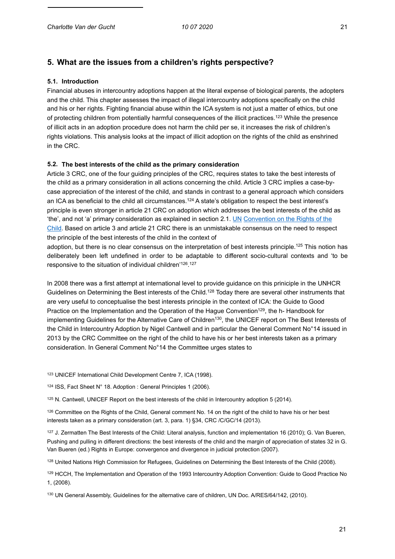# **5. What are the issues from a children's rights perspective?**

#### **5.1. Introduction**

Financial abuses in intercountry adoptions happen at the literal expense of biological parents, the adopters and the child. This chapter assesses the impact of illegal intercountry adoptions specifically on the child and his or her rights. Fighting financial abuse within the ICA system is not just a matter of ethics, but one of protecting children from potentially harmful consequences of the illicit practices.123 While the presence of illicit acts in an adoption procedure does not harm the child per se, it increases the risk of children's rights violations. This analysis looks at the impact of illicit adoption on the rights of the child as enshrined in the CRC.

# **5.2. The best interests of the child as the primary consideration**

Article 3 CRC, one of the four guiding principles of the CRC, requires states to take the best interests of the child as a primary consideration in all actions concerning the child. Article 3 CRC implies a case-bycase appreciation of the interest of the child, and stands in contrast to a general approach which considers an ICA as beneficial to the child all circumstances.<sup>124</sup> A state's obligation to respect the best interest's principle is even stronger in article 21 CRC on adoption which addresses the best interests of the child as 'the', and not 'a' primary consideration as explained in section 2.1. UN Convention on the Rights of the Child. Based on article 3 and article 21 CRC there is an unmistakable consensus on the need to respect the principle of the best interests of the child in the context of

adoption, but there is no clear consensus on the interpretation of best interests principle.125 This notion has deliberately been left undefined in order to be adaptable to different socio-cultural contexts and 'to be responsive to the situation of individual children<sup>'126</sup>.<sup>127</sup>

In 2008 there was a first attempt at international level to provide guidance on this priniciple in the UNHCR Guidelines on Determining the Best interests of the Child.128 Today there are several other instruments that are very useful to conceptualise the best interests principle in the context of ICA: the Guide to Good Practice on the Implementation and the Operation of the Hague Convention<sup>129</sup>, the h- Handbook for implementing Guidelines for the Alternative Care of Children<sup>130</sup>, the UNICEF report on The Best Interests of the Child in Intercountry Adoption by Nigel Cantwell and in particular the General Comment No°14 issued in 2013 by the CRC Committee on the right of the child to have his or her best interests taken as a primary consideration. In General Comment No°14 the Committee urges states to

123 UNICEF International Child Development Centre 7, ICA (1998).

124 ISS, Fact Sheet N° 18. Adoption : General Principles 1 (2006).

125 N. Cantwell, UNICEF Report on the best interests of the child in Intercountry adoption 5 (2014).

126 Committee on the Rights of the Child, General comment No. 14 on the right of the child to have his or her best interests taken as a primary consideration (art. 3, para. 1) §34, CRC /C/GC/14 (2013).

<sup>127</sup> J. Zermatten The Best Interests of the Child: Literal analysis, function and implementation 16 (2010); G. Van Bueren, Pushing and pulling in different directions: the best interests of the child and the margin of appreciation of states 32 in G. Van Bueren (ed.) Rights in Europe: convergence and divergence in judicial protection (2007).

128 United Nations High Commission for Refugees, Guidelines on Determining the Best Interests of the Child (2008).

129 HCCH, The Implementation and Operation of the 1993 Intercountry Adoption Convention: Guide to Good Practice No 1, (2008).

130 UN General Assembly, Guidelines for the alternative care of children, UN Doc. A/RES/64/142, (2010).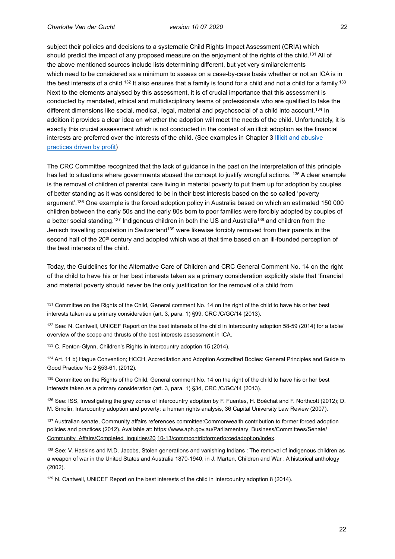subject their policies and decisions to a systematic Child Rights Impact Assessment (CRIA) which should predict the impact of any proposed measure on the enjoyment of the rights of the child.<sup>131</sup> All of the above mentioned sources include lists determining different, but yet very similarelements which need to be considered as a minimum to assess on a case-by-case basis whether or not an ICA is in the best interests of a child.<sup>132</sup> It also ensures that a family is found for a child and not a child for a family.<sup>133</sup> Next to the elements analysed by this assessment, it is of crucial importance that this assessment is conducted by mandated, ethical and multidisciplinary teams of professionals who are qualified to take the different dimensions like social, medical, legal, material and psychosocial of a child into account.<sup>134</sup> In addition it provides a clear idea on whether the adoption will meet the needs of the child. Unfortunately, it is exactly this crucial assessment which is not conducted in the context of an illicit adoption as the financial interests are preferred over the interests of the child. (See examples in Chapter 3 Illicit and abusive practices driven by profit)

The CRC Committee recognized that the lack of guidance in the past on the interpretation of this principle has led to situations where governments abused the concept to justify wrongful actions. 135 A clear example is the removal of children of parental care living in material poverty to put them up for adoption by couples of better standing as it was considered to be in their best interests based on the so called 'poverty argument'.136 One example is the forced adoption policy in Australia based on which an estimated 150 000 children between the early 50s and the early 80s born to poor families were forcibly adopted by couples of a better social standing.137 Indigenous children in both the US and Australia138 and children from the Jenisch travelling population in Switzerland<sup>139</sup> were likewise forcibly removed from their parents in the second half of the 20<sup>th</sup> century and adopted which was at that time based on an ill-founded perception of the best interests of the child.

Today, the Guidelines for the Alternative Care of Children and CRC General Comment No. 14 on the right of the child to have his or her best interests taken as a primary consideration explicitly state that 'financial and material poverty should never be the only justification for the removal of a child from

131 Committee on the Rights of the Child, General comment No. 14 on the right of the child to have his or her best interests taken as a primary consideration (art. 3, para. 1) §99, CRC /C/GC/14 (2013).

132 See: N. Cantwell, UNICEF Report on the best interests of the child in Intercountry adoption 58-59 (2014) for a table/ overview of the scope and thrusts of the best interests assessment in ICA.

133 C. Fenton-Glynn, Children's Rights in intercountry adoption 15 (2014).

134 Art. 11 b) Hague Convention; HCCH, Accreditation and Adoption Accredited Bodies: General Principles and Guide to Good Practice No 2 §53-61, (2012).

<sup>135</sup> Committee on the Rights of the Child, General comment No. 14 on the right of the child to have his or her best interests taken as a primary consideration (art. 3, para. 1) §34, CRC /C/GC/14 (2013).

136 See: ISS, Investigating the grey zones of intercountry adoption by F. Fuentes, H. Boéchat and F. Northcott (2012); D. M. Smolin, Intercountry adoption and poverty: a human rights analysis, 36 Capital University Law Review (2007).

<sup>137</sup> Australian senate, Community affairs references committee: Commonwealth contribution to former forced adoption [policies and practices \(2012\). Available at: https://www.aph.gov.au/Parliamentary\\_Business/Committees/Senate/](http://www.aph.gov.au/Parliamentary_Business/Committees/Senate/Community_Affairs/Completed_inquiries/20) Community\_Affairs/Completed\_inquiries/20 10-13/commcontribformerforcedadoption/index.

138 See: V. Haskins and M.D. Jacobs, Stolen generations and vanishing Indians : The removal of indigenous children as a weapon of war in the United States and Australia 1870-1940, in J. Marten, Children and War : A historical anthology (2002).

139 N. Cantwell, UNICEF Report on the best interests of the child in Intercountry adoption 8 (2014).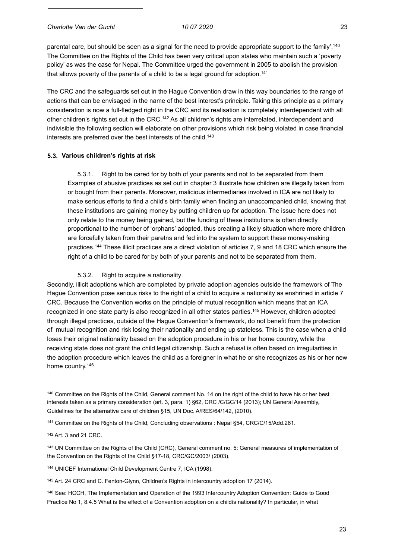parental care, but should be seen as a signal for the need to provide appropriate support to the family'.140 The Committee on the Rights of the Child has been very critical upon states who maintain such a 'poverty policy' as was the case for Nepal. The Committee urged the government in 2005 to abolish the provision that allows poverty of the parents of a child to be a legal ground for adoption.<sup>141</sup>

The CRC and the safeguards set out in the Hague Convention draw in this way boundaries to the range of actions that can be envisaged in the name of the best interest's principle. Taking this principle as a primary consideration is now a full-fledged right in the CRC and its realisation is completely interdependent with all other children's rights set out in the CRC.<sup>142</sup> As all children's rights are interrelated, interdependent and indivisible the following section will elaborate on other provisions which risk being violated in case financial interests are preferred over the best interests of the child.<sup>143</sup>

## **5.3. Various children's rights at risk**

5.3.1. Right to be cared for by both of your parents and not to be separated from them Examples of abusive practices as set out in chapter 3 illustrate how children are illegally taken from or bought from their parents. Moreover, malicious intermediaries involved in ICA are not likely to make serious efforts to find a child's birth family when finding an unaccompanied child, knowing that these institutions are gaining money by putting children up for adoption. The issue here does not only relate to the money being gained, but the funding of these institutions is often directly proportional to the number of 'orphans' adopted, thus creating a likely situation where more children are forcefully taken from their paretns and fed into the system to support these money-making practices.144 These illicit practices are a direct violation of articles 7, 9 and 18 CRC which ensure the right of a child to be cared for by both of your parents and not to be separated from them.

#### 5.3.2. Right to acquire a nationality

Secondly, illicit adoptions which are completed by private adoption agencies outside the framework of The Hague Convention pose serious risks to the right of a child to acquire a nationality as enshrined in article 7 CRC. Because the Convention works on the principle of mutual recognition which means that an ICA recognized in one state party is also recognized in all other states parties.<sup>145</sup> However, children adopted through illegal practices, outside of the Hague Convention's framework, do not benefit from the protection of mutual recognition and risk losing their nationality and ending up stateless. This is the case when a child loses their original nationality based on the adoption procedure in his or her home country, while the receiving state does not grant the child legal citizenship. Such a refusal is often based on irregularities in the adoption procedure which leaves the child as a foreigner in what he or she recognizes as his or her new home country.<sup>146</sup>

140 Committee on the Rights of the Child, General comment No. 14 on the right of the child to have his or her best interests taken as a primary consideration (art. 3, para. 1) §62, CRC /C/GC/14 (2013); UN General Assembly, Guidelines for the alternative care of children §15, UN Doc. A/RES/64/142, (2010).

141 Committee on the Rights of the Child, Concluding observations : Nepal §54, CRC/C/15/Add.261.

142 Art. 3 and 21 CRC.

143 UN Committee on the Rights of the Child (CRC), General comment no. 5: General measures of implementation of the Convention on the Rights of the Child §17-18, CRC/GC/2003/ (2003).

144 UNICEF International Child Development Centre 7, ICA (1998).

145 Art. 24 CRC and C. Fenton-Glynn, Children's Rights in intercountry adoption 17 (2014).

146 See: HCCH, The Implementation and Operation of the 1993 Intercountry Adoption Convention: Guide to Good Practice No 1, 8.4.5 What is the effect of a Convention adoption on a childís nationality? In particular, in what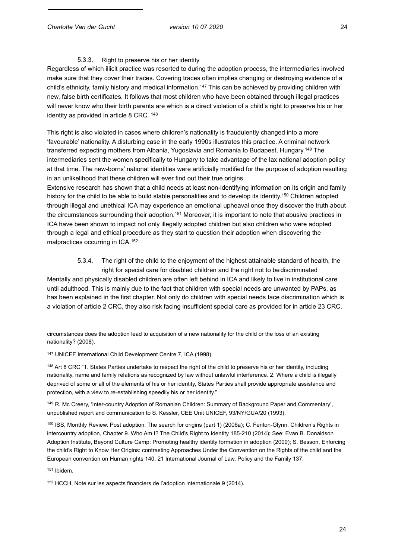#### 5.3.3. Right to preserve his or her identity

Regardless of which illicit practice was resorted to during the adoption process, the intermediaries involved make sure that they cover their traces. Covering traces often implies changing or destroying evidence of a child's ethnicity, family history and medical information.147 This can be achieved by providing children with new, false birth certificates. It follows that most children who have been obtained through illegal practices will never know who their birth parents are which is a direct violation of a child's right to preserve his or her identity as provided in article 8 CRC. 148

This right is also violated in cases where children's nationality is fraudulently changed into a more 'favourable' nationality. A disturbing case in the early 1990s illustrates this practice. A criminal network transferred expecting mothers from Albania, Yugoslavia and Romania to Budapest, Hungary.149 The intermediaries sent the women specifically to Hungary to take advantage of the lax national adoption policy at that time. The new-borns' national identities were artificially modified for the purpose of adoption resulting in an unlikelihood that these children will ever find out their true origins.

Extensive research has shown that a child needs at least non-identifying information on its origin and family history for the child to be able to build stable personalities and to develop its identity.150 Children adopted through illegal and unethical ICA may experience an emotional upheaval once they discover the truth about the circumstances surrounding their adoption.151 Moreover, it is important to note that abusive practices in ICA have been shown to impact not only illegally adopted children but also children who were adopted through a legal and ethical procedure as they start to question their adoption when discovering the malpractices occurring in ICA.152

5.3.4. The right of the child to the enjoyment of the highest attainable standard of health, the right for special care for disabled children and the right not to bediscriminated Mentally and physically disabled children are often left behind in ICA and likely to live in institutional care until adulthood. This is mainly due to the fact that children with special needs are unwanted by PAPs, as has been explained in the first chapter. Not only do children with special needs face discrimination which is a violation of article 2 CRC, they also risk facing insufficient special care as provided for in article 23 CRC.

circumstances does the adoption lead to acquisition of a new nationality for the child or the loss of an existing nationality? (2008).

147 UNICEF International Child Development Centre 7, ICA (1998).

148 Art 8 CRC "1. States Parties undertake to respect the right of the child to preserve his or her identity, including nationality, name and family relations as recognized by law without unlawful interference. 2. Where a child is illegally deprived of some or all of the elements of his or her identity, States Parties shall provide appropriate assistance and protection, with a view to re-establishing speedily his or her identity."

149 R. Mc Creery, 'Inter-country Adoption of Romanian Children: Summary of Background Paper and Commentary', unpublished report and communication to S. Kessler, CEE Unit UNICEF, 93/NY/GUA/20 (1993).

150 ISS, Monthly Review. Post adoption: The search for origins (part 1) (2006a); C. Fenton-Glynn, Children's Rights in intercountry adoption, Chapter 9. Who Am I? The Child's Right to Identity 185-210 (2014); See: Evan B. Donaldson Adoption Institute, Beyond Culture Camp: Promoting healthy identity formation in adoption (2009); S. Besson, Enforcing the child's Right to Know Her Origins: contrasting Approaches Under the Convention on the Rights of the child and the European convention on Human rights 140, 21 International Journal of Law, Policy and the Family 137.

151 Ibidem.

152 HCCH, Note sur les aspects financiers de l'adoption internationale 9 (2014).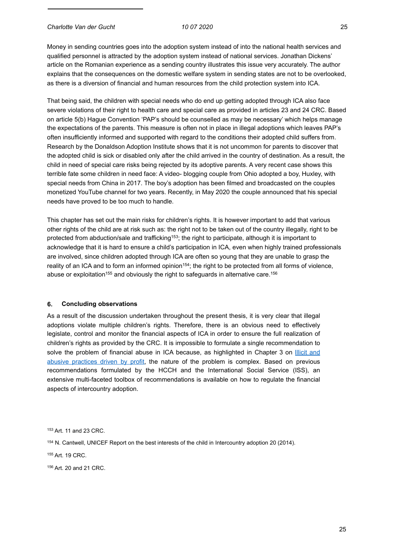*Charlotte Van der Gucht 10 07 2020* 25

Money in sending countries goes into the adoption system instead of into the national health services and qualified personnel is attracted by the adoption system instead of national services. Jonathan Dickens' article on the Romanian experience as a sending country illustrates this issue very accurately. The author explains that the consequences on the domestic welfare system in sending states are not to be overlooked, as there is a diversion of financial and human resources from the child protection system into ICA.

That being said, the children with special needs who do end up getting adopted through ICA also face severe violations of their right to health care and special care as provided in articles 23 and 24 CRC. Based on article 5(b) Hague Convention 'PAP's should be counselled as may be necessary' which helps manage the expectations of the parents. This measure is often not in place in illegal adoptions which leaves PAP's often insufficiently informed and supported with regard to the conditions their adopted child suffers from. Research by the Donaldson Adoption Institute shows that it is not uncommon for parents to discover that the adopted child is sick or disabled only after the child arrived in the country of destination. As a result, the child in need of special care risks being rejected by its adoptive parents. A very recent case shows this terrible fate some children in need face: A video- blogging couple from Ohio adopted a boy, Huxley, with special needs from China in 2017. The boy's adoption has been filmed and broadcasted on the couples monetized YouTube channel for two years. Recently, in May 2020 the couple announced that his special needs have proved to be too much to handle.

This chapter has set out the main risks for children's rights. It is however important to add that various other rights of the child are at risk such as: the right not to be taken out of the country illegally, right to be protected from abduction/sale and trafficking<sup>153</sup>; the right to participate, although it is important to acknowledge that it is hard to ensure a child's participation in ICA, even when highly trained professionals are involved, since children adopted through ICA are often so young that they are unable to grasp the reality of an ICA and to form an informed opinion<sup>154</sup>; the right to be protected from all forms of violence, abuse or exploitation<sup>155</sup> and obviously the right to safeguards in alternative care.<sup>156</sup>

## **6. Concluding observations**

As a result of the discussion undertaken throughout the present thesis, it is very clear that illegal adoptions violate multiple children's rights. Therefore, there is an obvious need to effectively legislate, control and monitor the financial aspects of ICA in order to ensure the full realization of children's rights as provided by the CRC. It is impossible to formulate a single recommendation to solve the problem of financial abuse in ICA because, as highlighted in Chapter 3 on **Illicit** and abusive practices driven by profit, the nature of the problem is complex. Based on previous recommendations formulated by the HCCH and the International Social Service (ISS), an extensive multi-faceted toolbox of recommendations is available on how to regulate the financial aspects of intercountry adoption.

153 Art. 11 and 23 CRC.

154 N. Cantwell, UNICEF Report on the best interests of the child in Intercountry adoption 20 (2014).

155 Art. 19 CRC.

156 Art. 20 and 21 CRC.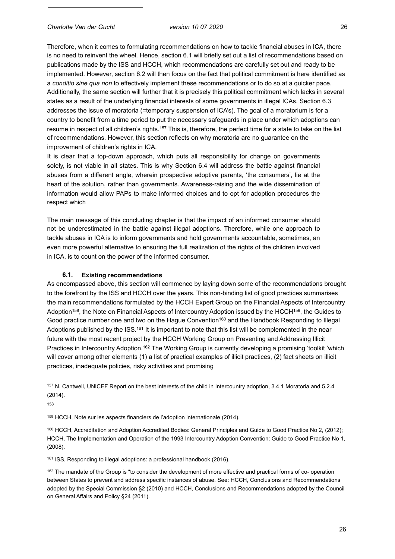Therefore, when it comes to formulating recommendations on how to tackle financial abuses in ICA, there is no need to reinvent the wheel. Hence, section 6.1 will briefly set out a list of recommendations based on publications made by the ISS and HCCH, which recommendations are carefully set out and ready to be implemented. However, section 6.2 will then focus on the fact that political commitment is here identified as a *conditio sine qua non* to effectively implement these recommendations or to do so at a quicker pace. Additionally, the same section will further that it is precisely this political commitment which lacks in several states as a result of the underlying financial interests of some governments in illegal ICAs. Section 6.3 addresses the issue of moratoria (=temporary suspension of ICA's). The goal of a moratorium is for a country to benefit from a time period to put the necessary safeguards in place under which adoptions can resume in respect of all children's rights.<sup>157</sup> This is, therefore, the perfect time for a state to take on the list of recommendations. However, this section reflects on why moratoria are no guarantee on the improvement of children's rights in ICA.

It is clear that a top-down approach, which puts all responsibility for change on governments solely, is not viable in all states. This is why Section 6.4 will address the battle against financial abuses from a different angle, wherein prospective adoptive parents, 'the consumers', lie at the heart of the solution, rather than governments. Awareness-raising and the wide dissemination of information would allow PAPs to make informed choices and to opt for adoption procedures the respect which

The main message of this concluding chapter is that the impact of an informed consumer should not be underestimated in the battle against illegal adoptions. Therefore, while one approach to tackle abuses in ICA is to inform governments and hold governments accountable, sometimes, an even more powerful alternative to ensuring the full realization of the rights of the children involved in ICA, is to count on the power of the informed consumer.

#### **6.1. Existing recommendations**

As encompassed above, this section will commence by laying down some of the recommendations brought to the forefront by the ISS and HCCH over the years. This non-binding list of good practices summarises the main recommendations formulated by the HCCH Expert Group on the Financial Aspects of Intercountry Adoption<sup>158</sup>, the Note on Financial Aspects of Intercountry Adoption issued by the HCCH<sup>159</sup>, the Guides to Good practice number one and two on the Hague Convention<sup>160</sup> and the Handbook Responding to Illegal Adoptions published by the ISS.<sup>161</sup> It is important to note that this list will be complemented in the near future with the most recent project by the HCCH Working Group on Preventing and Addressing Illicit Practices in Intercountry Adoption.<sup>162</sup> The Working Group is currently developing a promising 'toolkit 'which will cover among other elements (1) a list of practical examples of illicit practices, (2) fact sheets on illicit practices, inadequate policies, risky activities and promising

157 N. Cantwell, UNICEF Report on the best interests of the child in Intercountry adoption, 3.4.1 Moratoria and 5.2.4 (2014).

158

159 HCCH, Note sur les aspects financiers de l'adoption internationale (2014).

160 HCCH, Accreditation and Adoption Accredited Bodies: General Principles and Guide to Good Practice No 2, (2012); HCCH, The Implementation and Operation of the 1993 Intercountry Adoption Convention: Guide to Good Practice No 1, (2008).

161 ISS, Responding to illegal adoptions: a professional handbook (2016).

<sup>162</sup> The mandate of the Group is "to consider the development of more effective and practical forms of co- operation between States to prevent and address specific instances of abuse. See: HCCH, Conclusions and Recommendations adopted by the Special Commission §2 (2010) and HCCH, Conclusions and Recommendations adopted by the Council on General Affairs and Policy §24 (2011).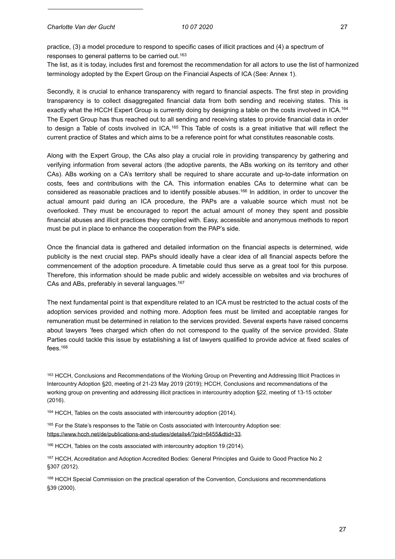practice, (3) a model procedure to respond to specific cases of illicit practices and (4) a spectrum of responses to general patterns to be carried out.<sup>163</sup>

The list, as it is today, includes first and foremost the recommendation for all actors to use the list of harmonized terminology adopted by the Expert Group on the Financial Aspects of ICA (See: Annex 1).

Secondly, it is crucial to enhance transparency with regard to financial aspects. The first step in providing transparency is to collect disaggregated financial data from both sending and receiving states. This is exactly what the HCCH Expert Group is currently doing by designing a table on the costs involved in ICA.<sup>164</sup> The Expert Group has thus reached out to all sending and receiving states to provide financial data in order to design a Table of costs involved in ICA.<sup>165</sup> This Table of costs is a great initiative that will reflect the current practice of States and which aims to be a reference point for what constitutes reasonable costs.

Along with the Expert Group, the CAs also play a crucial role in providing transparency by gathering and verifying information from several actors (the adoptive parents, the ABs working on its territory and other CAs). ABs working on a CA's territory shall be required to share accurate and up-to-date information on costs, fees and contributions with the CA. This information enables CAs to determine what can be considered as reasonable practices and to identify possible abuses.166 In addition, in order to uncover the actual amount paid during an ICA procedure, the PAPs are a valuable source which must not be overlooked. They must be encouraged to report the actual amount of money they spent and possible financial abuses and illicit practices they complied with. Easy, accessible and anonymous methods to report must be put in place to enhance the cooperation from the PAP's side.

Once the financial data is gathered and detailed information on the financial aspects is determined, wide publicity is the next crucial step. PAPs should ideally have a clear idea of all financial aspects before the commencement of the adoption procedure. A timetable could thus serve as a great tool for this purpose. Therefore, this information should be made public and widely accessible on websites and via brochures of CAs and ABs, preferably in several languages.167

The next fundamental point is that expenditure related to an ICA must be restricted to the actual costs of the adoption services provided and nothing more. Adoption fees must be limited and acceptable ranges for remuneration must be determined in relation to the services provided. Several experts have raised concerns about lawyers 'fees charged which often do not correspond to the quality of the service provided. State Parties could tackle this issue by establishing a list of lawyers qualified to provide advice at fixed scales of fees.168

163 HCCH, Conclusions and Recommendations of the Working Group on Preventing and Addressing Illicit Practices in Intercountry Adoption §20, meeting of 21-23 May 2019 (2019); HCCH, Conclusions and recommendations of the working group on preventing and addressing illicit practices in intercountry adoption §22, meeting of 13-15 october (2016).

164 HCCH, Tables on the costs associated with intercountry adoption (2014).

165 For the State's responses to the Table on Costs associated with Intercountry Adoption see: https://[www.hcch.net/de/publications-and-studies/details4/?pid=6455&dtid=33.](http://www.hcch.net/de/publications-and-studies/details4/?pid=6455&dtid=33)

166 HCCH, Tables on the costs associated with intercountry adoption 19 (2014).

167 HCCH, Accreditation and Adoption Accredited Bodies: General Principles and Guide to Good Practice No 2 §307 (2012).

<sup>168</sup> HCCH Special Commission on the practical operation of the Convention, Conclusions and recommendations §39 (2000).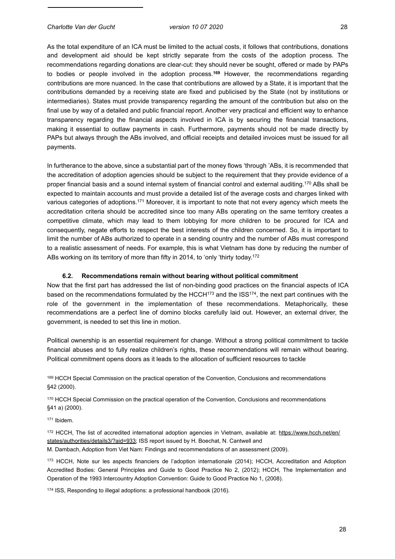As the total expenditure of an ICA must be limited to the actual costs, it follows that contributions, donations and development aid should be kept strictly separate from the costs of the adoption process. The recommendations regarding donations are clear-cut: they should never be sought, offered or made by PAPs to bodies or people involved in the adoption process.**<sup>169</sup>** However, the recommendations regarding contributions are more nuanced. In the case that contributions are allowed by a State, it is important that the contributions demanded by a receiving state are fixed and publicised by the State (not by institutions or intermediaries). States must provide transparency regarding the amount of the contribution but also on the final use by way of a detailed and public financial report. Another very practical and efficient way to enhance transparency regarding the financial aspects involved in ICA is by securing the financial transactions, making it essential to outlaw payments in cash. Furthermore, payments should not be made directly by PAPs but always through the ABs involved, and official receipts and detailed invoices must be issued for all payments.

In furtherance to the above, since a substantial part of the money flows 'through 'ABs, it is recommended that the accreditation of adoption agencies should be subject to the requirement that they provide evidence of a proper financial basis and a sound internal system of financial control and external auditing.170 ABs shall be expected to maintain accounts and must provide a detailed list of the average costs and charges linked with various categories of adoptions.171 Moreover, it is important to note that not every agency which meets the accreditation criteria should be accredited since too many ABs operating on the same territory creates a competitive climate, which may lead to them lobbying for more children to be procured for ICA and consequently, negate efforts to respect the best interests of the children concerned. So, it is important to limit the number of ABs authorized to operate in a sending country and the number of ABs must correspond to a realistic assessment of needs. For example, this is what Vietnam has done by reducing the number of ABs working on its territory of more than fifty in 2014, to 'only 'thirty today.<sup>172</sup>

# **6.2. Recommendations remain without bearing without political commitment**

Now that the first part has addressed the list of non-binding good practices on the financial aspects of ICA based on the recommendations formulated by the HCCH $173$  and the ISS $174$ , the next part continues with the role of the government in the implementation of these recommendations. Metaphorically, these recommendations are a perfect line of domino blocks carefully laid out. However, an external driver, the government, is needed to set this line in motion.

Political ownership is an essential requirement for change. Without a strong political commitment to tackle financial abuses and to fully realize children's rights, these recommendations will remain without bearing. Political commitment opens doors as it leads to the allocation of sufficient resources to tackle

169 HCCH Special Commission on the practical operation of the Convention, Conclusions and recommendations §42 (2000).

170 HCCH Special Commission on the practical operation of the Convention, Conclusions and recommendations §41 a) (2000).

171 Ibidem.

[172 HCCH, The list of accredited international adoption agencies in Vietnam, available at: https://www.hcch.net/en/](http://www.hcch.net/en/states/authorities/details3/?aid=933%253B) states/authorities/details3/?aid=933; ISS report issued by H. Boechat, N. Cantwell and M. Dambach, Adoption from Viet Nam: Findings and recommendations of an assessment (2009).

173 HCCH, Note sur les aspects financiers de l'adoption internationale (2014); HCCH, Accreditation and Adoption Accredited Bodies: General Principles and Guide to Good Practice No 2, (2012); HCCH, The Implementation and Operation of the 1993 Intercountry Adoption Convention: Guide to Good Practice No 1, (2008).

174 ISS, Responding to illegal adoptions: a professional handbook (2016).

28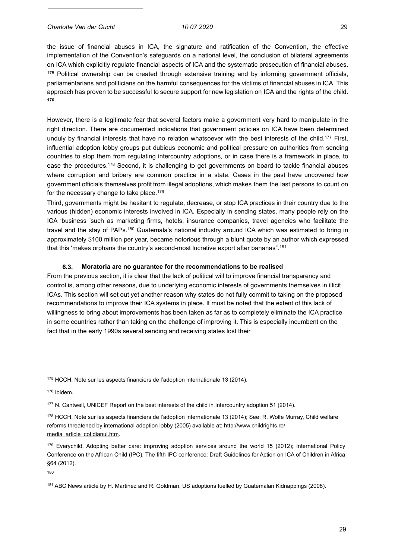*Charlotte Van der Gucht 10 07 2020* 29

the issue of financial abuses in ICA, the signature and ratification of the Convention, the effective implementation of the Convention's safeguards on a national level, the conclusion of bilateral agreements on ICA which explicitly regulate financial aspects of ICA and the systematic prosecution of financial abuses.  $175$  Political ownership can be created through extensive training and by informing government officials, parliamentarians and politicians on the harmful consequences for the victims of financial abuses in ICA. This approach has proven to be successful to secure support for new legislation on ICA and the rights of the child. **176**

However, there is a legitimate fear that several factors make a government very hard to manipulate in the right direction. There are documented indications that government policies on ICA have been determined unduly by financial interests that have no relation whatsoever with the best interests of the child.<sup>177</sup> First, influential adoption lobby groups put dubious economic and political pressure on authorities from sending countries to stop them from regulating intercountry adoptions, or in case there is a framework in place, to ease the procedures.178 Second, it is challenging to get governments on board to tackle financial abuses where corruption and bribery are common practice in a state. Cases in the past have uncovered how government officials themselves profit from illegal adoptions, which makes them the last persons to count on for the necessary change to take place.179

Third, governments might be hesitant to regulate, decrease, or stop ICA practices in their country due to the various (hidden) economic interests involved in ICA. Especially in sending states, many people rely on the ICA 'business 'such as marketing firms, hotels, insurance companies, travel agencies who facilitate the travel and the stay of PAPs.180 Guatemala's national industry around ICA which was estimated to bring in approximately \$100 million per year, became notorious through a blunt quote by an author which expressed that this 'makes orphans the country's second-most lucrative export after bananas".181

#### **6.3. Moratoria are no guarantee for the recommendations to be realised**

From the previous section, it is clear that the lack of political will to improve financial transparency and control is, among other reasons, due to underlying economic interests of governments themselves in illicit ICAs. This section will set out yet another reason why states do not fully commit to taking on the proposed recommendations to improve their ICA systems in place. It must be noted that the extent of this lack of willingness to bring about improvements has been taken as far as to completely eliminate the ICA practice in some countries rather than taking on the challenge of improving it. This is especially incumbent on the fact that in the early 1990s several sending and receiving states lost their

175 HCCH, Note sur les aspects financiers de l'adoption internationale 13 (2014).

176 Ibidem.

177 N. Cantwell, UNICEF Report on the best interests of the child in Intercountry adoption 51 (2014).

178 HCCH, Note sur les aspects financiers de l'adoption internationale 13 (2014); See: R. Wolfe Murray, Child welfare [reforms threatened by international adoption lobby \(2005\) available at: http://www.childrights.ro/](http://www.childrights.ro/media_article_cotidianul.htm) media\_article\_cotidianul.htm.

179 Everychild, Adopting better care: improving adoption services around the world 15 (2012); International Policy Conference on the African Child (IPC), The fifth IPC conference: Draft Guidelines for Action on ICA of Children in Africa §64 (2012).

180

<sup>181</sup> ABC News article by H. Martinez and R. Goldman, US adoptions fuelled by Guatemalan Kidnappings (2008).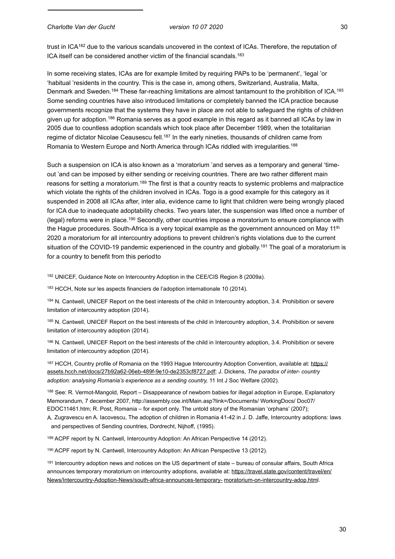trust in ICA182 due to the various scandals uncovered in the context of ICAs. Therefore, the reputation of ICA itself can be considered another victim of the financial scandals.183

In some receiving states, ICAs are for example limited by requiring PAPs to be 'permanent', 'legal 'or 'habitual 'residents in the country. This is the case in, among others, Switzerland, Australia, Malta, Denmark and Sweden.184 These far-reaching limitations are almost tantamount to the prohibition of ICA.185 Some sending countries have also introduced limitations or completely banned the ICA practice because governments recognize that the systems they have in place are not able to safeguard the rights of children given up for adoption.186 Romania serves as a good example in this regard as it banned all ICAs by law in 2005 due to countless adoption scandals which took place after December 1989, when the totalitarian regime of dictator Nicolae Ceausescu fell.<sup>187</sup> In the early nineties, thousands of children came from Romania to Western Europe and North America through ICAs riddled with irregularities.188

Such a suspension on ICA is also known as a 'moratorium 'and serves as a temporary and general 'timeout 'and can be imposed by either sending or receiving countries. There are two rather different main reasons for setting a moratorium.189 The first is that a country reacts to systemic problems and malpractice which violate the rights of the children involved in ICAs. Togo is a good example for this category as it suspended in 2008 all ICAs after, inter alia, evidence came to light that children were being wrongly placed for ICA due to inadequate adoptability checks. Two years later, the suspension was lifted once a number of (legal) reforms were in place.190 Secondly, other countries impose a moratorium to ensure compliance with the Hague procedures. South-Africa is a very topical example as the government announced on May 11<sup>th</sup> 2020 a moratorium for all intercountry adoptions to prevent children's rights violations due to the current situation of the COVID-19 pandemic experienced in the country and globally.<sup>191</sup> The goal of a moratorium is for a country to benefit from this periodto

182 UNICEF, Guidance Note on Intercountry Adoption in the CEE/CIS Region 8 (2009a).

183 HCCH, Note sur les aspects financiers de l'adoption internationale 10 (2014).

184 N. Cantwell, UNICEF Report on the best interests of the child in Intercountry adoption, 3.4. Prohibition or severe limitation of intercountry adoption (2014).

185 N. Cantwell, UNICEF Report on the best interests of the child in Intercountry adoption, 3.4. Prohibition or severe limitation of intercountry adoption (2014).

186 N. Cantwell, UNICEF Report on the best interests of the child in Intercountry adoption, 3.4. Prohibition or severe limitation of intercountry adoption (2014).

187 HCCH, Country profile of Romania on the 1993 Hague Intercountry Adoption Convention, available at: https:// assets.hcch.net/docs/27b92a62-06eb-489f-9e10-de2353cf8727.pdf; J. Dickens, *The paradox of inter- country adoption: analysing Romania's experience as a sending country,* 11 Int J Soc Welfare (2002).

188 See: R. Vermot-Mangold, Report – Disappearance of newborn babies for illegal adoption in Europe, Explanatory Memorandum, 7 december 2007, http://assembly.coe.int/Main.asp?link=/Documents/ WorkingDocs/ Doc07/ EDOC11461.htm; R. Post, Romania – for export only. The untold story of the Romanian 'orphans' (2007); A. Zugravescu en A. Iacovescu, The adoption of children in Romania 41-42 in J. D. Jaffe, Intercountry adoptions: laws

and perspectives of Sending countries, Dordrecht, Nijhoff, (1995).

189 ACPF report by N. Cantwell, Intercountry Adoption: An African Perspective 14 (2012).

190 ACPF report by N. Cantwell, Intercountry Adoption: An African Perspective 13 (2012).

191 Intercountry adoption news and notices on the US department of state – bureau of consular affairs, South Africa announces temporary moratorium on intercountry adoptions, available at: https://travel.state.gov/content/travel/en/ News/Intercountry-Adoption-News/south-africa-announces-temporary- moratorium-on-intercountry-adop.html.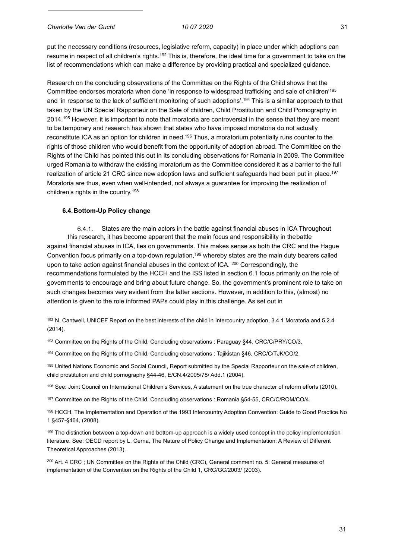put the necessary conditions (resources, legislative reform, capacity) in place under which adoptions can resume in respect of all children's rights.<sup>192</sup> This is, therefore, the ideal time for a government to take on the list of recommendations which can make a difference by providing practical and specialized guidance.

Research on the concluding observations of the Committee on the Rights of the Child shows that the Committee endorses moratoria when done 'in response to widespread trafficking and sale of children'193 and 'in response to the lack of sufficient monitoring of such adoptions'.194 This is a similar approach to that taken by the UN Special Rapporteur on the Sale of children, Child Prostitution and Child Pornography in 2014.<sup>195</sup> However, it is important to note that moratoria are controversial in the sense that they are meant to be temporary and research has shown that states who have imposed moratoria do not actually reconstitute ICA as an option for children in need.196 Thus, a moratorium potentially runs counter to the rights of those children who would benefit from the opportunity of adoption abroad. The Committee on the Rights of the Child has pointed this out in its concluding observations for Romania in 2009. The Committee urged Romania to withdraw the existing moratorium as the Committee considered it as a barrier to the full realization of article 21 CRC since new adoption laws and sufficient safeguards had been put in place.<sup>197</sup> Moratoria are thus, even when well-intended, not always a guarantee for improving the realization of children's rights in the country.198

## **6.4.Bottom-Up Policy change**

6.4.1. States are the main actors in the battle against financial abuses in ICA Throughout this research, it has become apparent that the main focus and responsibility in thebattle against financial abuses in ICA, lies on governments. This makes sense as both the CRC and the Hague Convention focus primarily on a top-down regulation,199 whereby states are the main duty bearers called upon to take action against financial abuses in the context of ICA.  $^{200}$  Correspondingly, the recommendations formulated by the HCCH and the ISS listed in section 6.1 focus primarily on the role of governments to encourage and bring about future change. So, the government's prominent role to take on such changes becomes very evident from the latter sections. However, in addition to this, (almost) no attention is given to the role informed PAPs could play in this challenge. As set out in

192 N. Cantwell, UNICEF Report on the best interests of the child in Intercountry adoption, 3.4.1 Moratoria and 5.2.4 (2014).

193 Committee on the Rights of the Child, Concluding observations : Paraguay §44, CRC/C/PRY/CO/3.

194 Committee on the Rights of the Child, Concluding observations : Tajikistan §46, CRC/C/TJK/CO/2.

195 United Nations Economic and Social Council, Report submitted by the Special Rapporteur on the sale of children, child prostitution and child pornography §44-46, E/CN.4/2005/78/ Add.1 (2004).

196 See: Joint Council on International Children's Services, A statement on the true character of reform efforts (2010).

197 Committee on the Rights of the Child, Concluding observations : Romania §54-55, CRC/C/ROM/CO/4.

198 HCCH, The Implementation and Operation of the 1993 Intercountry Adoption Convention: Guide to Good Practice No 1 §457-§464, (2008).

<sup>199</sup> The distinction between a top-down and bottom-up approach is a widely used concept in the policy implementation literature. See: OECD report by L. Cerna, The Nature of Policy Change and Implementation: A Review of Different Theoretical Approaches (2013).

200 Art. 4 CRC ; UN Committee on the Rights of the Child (CRC), General comment no. 5: General measures of implementation of the Convention on the Rights of the Child 1, CRC/GC/2003/ (2003).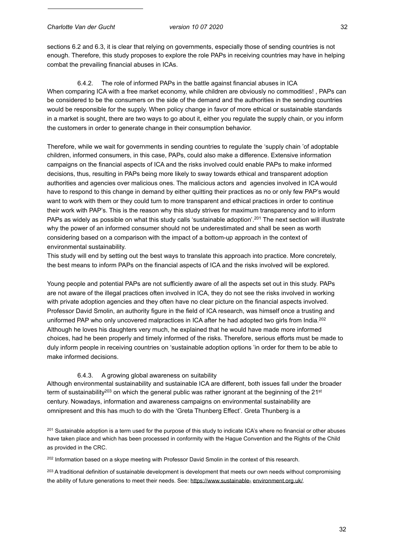sections 6.2 and 6.3, it is clear that relying on governments, especially those of sending countries is not enough. Therefore, this study proposes to explore the role PAPs in receiving countries may have in helping combat the prevailing financial abuses in ICAs.

6.4.2. The role of informed PAPs in the battle against financial abuses in ICA When comparing ICA with a free market economy, while children are obviously no commodities! , PAPs can be considered to be the consumers on the side of the demand and the authorities in the sending countries would be responsible for the supply. When policy change in favor of more ethical or sustainable standards in a market is sought, there are two ways to go about it, either you regulate the supply chain, or you inform the customers in order to generate change in their consumption behavior.

Therefore, while we wait for governments in sending countries to regulate the 'supply chain 'of adoptable children, informed consumers, in this case, PAPs, could also make a difference. Extensive information campaigns on the financial aspects of ICA and the risks involved could enable PAPs to make informed decisions, thus, resulting in PAPs being more likely to sway towards ethical and transparent adoption authorities and agencies over malicious ones. The malicious actors and agencies involved in ICA would have to respond to this change in demand by either quitting their practices as no or only few PAP's would want to work with them or they could turn to more transparent and ethical practices in order to continue their work with PAP's. This is the reason why this study strives for maximum transparency and to inform PAPs as widely as possible on what this study calls 'sustainable adoption'.<sup>201</sup> The next section will illustrate why the power of an informed consumer should not be underestimated and shall be seen as worth considering based on a comparison with the impact of a bottom-up approach in the context of environmental sustainability.

This study will end by setting out the best ways to translate this approach into practice. More concretely, the best means to inform PAPs on the financial aspects of ICA and the risks involved will be explored.

Young people and potential PAPs are not sufficiently aware of all the aspects set out in this study. PAPs are not aware of the illegal practices often involved in ICA, they do not see the risks involved in working with private adoption agencies and they often have no clear picture on the financial aspects involved. Professor David Smolin, an authority figure in the field of ICA research, was himself once a trusting and uniformed PAP who only uncovered malpractices in ICA after he had adopted two girls from India.<sup>202</sup> Although he loves his daughters very much, he explained that he would have made more informed choices, had he been properly and timely informed of the risks. Therefore, serious efforts must be made to duly inform people in receiving countries on 'sustainable adoption options 'in order for them to be able to make informed decisions.

#### 6.4.3. A growing global awareness on suitability

Although environmental sustainability and sustainable ICA are different, both issues fall under the broader term of sustainability<sup>203</sup> on which the general public was rather ignorant at the beginning of the  $21^{st}$ century. Nowadays, information and awareness campaigns on environmental sustainability are omnipresent and this has much to do with the 'Greta Thunberg Effect'. Greta Thunberg is a

<sup>201</sup> Sustainable adoption is a term used for the purpose of this study to indicate ICA's where no financial or other abuses have taken place and which has been processed in conformity with the Hague Convention and the Rights of the Child as provided in the CRC.

<sup>202</sup> Information based on a skype meeting with Professor David Smolin in the context of this research.

<sup>203</sup> A traditional definition of sustainable development is development that meets our own needs without compromising the ability of future generations to meet their needs. See: https://www.sustainable- environment.org.uk/.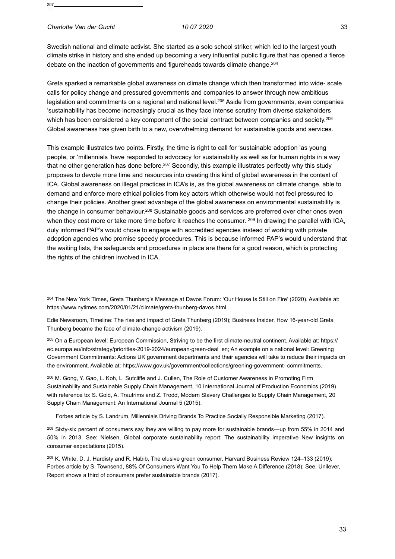#### *Charlotte Van der Gucht 10 07 2020* 33

Swedish national and climate activist. She started as a solo school striker, which led to the largest youth climate strike in history and she ended up becoming a very influential public figure that has opened a fierce debate on the inaction of governments and figureheads towards climate change.204

Greta sparked a remarkable global awareness on climate change which then transformed into wide- scale calls for policy change and pressured governments and companies to answer through new ambitious legislation and commitments on a regional and national level.<sup>205</sup> Aside from governments, even companies 'sustainability has become increasingly crucial as they face intense scrutiny from diverse stakeholders which has been considered a key component of the social contract between companies and society.<sup>206</sup> Global awareness has given birth to a new, overwhelming demand for sustainable goods and services.

This example illustrates two points. Firstly, the time is right to call for 'sustainable adoption 'as young people, or 'millennials 'have responded to advocacy for sustainability as well as for human rights in a way that no other generation has done before.<sup>207</sup> Secondly, this example illustrates perfectly why this study proposes to devote more time and resources into creating this kind of global awareness in the context of ICA. Global awareness on illegal practices in ICA's is, as the global awareness on climate change, able to demand and enforce more ethical policies from key actors which otherwise would not feel pressured to change their policies. Another great advantage of the global awareness on environmental sustainability is the change in consumer behaviour.<sup>208</sup> Sustainable goods and services are preferred over other ones even when they cost more or take more time before it reaches the consumer. <sup>209</sup> In drawing the parallel with ICA, duly informed PAP's would chose to engage with accredited agencies instead of working with private adoption agencies who promise speedy procedures. This is because informed PAP's would understand that the waiting lists, the safeguards and procedures in place are there for a good reason, which is protecting the rights of the children involved in ICA.

204 The New York Times, Greta Thunberg's Message at Davos Forum: 'Our House Is Still on Fire' (2020). Available at: https://[www.nytimes.com/2020/01/21/climate/greta-thunberg-davos.html.](http://www.nytimes.com/2020/01/21/climate/greta-thunberg-davos.html)

Edie Newsroom, Timeline: The rise and impact of Greta Thunberg (2019); Business Insider, How 16-year-old Greta Thunberg became the face of climate-change activism (2019).

205 On a European level: European Commission, Striving to be the first climate-neutral continent. Available at: https:// ec.europa.eu/info/strategy/priorities-2019-2024/european-green-deal\_en; An example on a national level: Greening Government Commitments: Actions UK government departments and their agencies will take to reduce their impacts on the environment. Available at: http[s://www.gov.uk/government/collections/greening-government-](http://www.gov.uk/government/collections/greening-government-) commitments.

206 M. Gong, Y. Gao, L. Koh, L. Sutcliffe and J. Cullen, The Role of Customer Awareness in Promoting Firm Sustainability and Sustainable Supply Chain Management, 10 International Journal of Production Economics (2019) with reference to: S. Gold, A. Trautrims and Z. Trodd, Modern Slavery Challenges to Supply Chain Management, 20 Supply Chain Management: An International Journal 5 (2015).

Forbes article by S. Landrum, Millennials Driving Brands To Practice Socially Responsible Marketing (2017).

<sup>208</sup> Sixty-six percent of consumers say they are willing to pay more for sustainable brands—up from 55% in 2014 and 50% in 2013. See: Nielsen, Global corporate sustainability report: The sustainability imperative New insights on consumer expectations (2015).

209 K. White, D. J. Hardisty and R. Habib, The elusive green consumer, Harvard Business Review 124–133 (2019); Forbes article by S. Townsend, 88% Of Consumers Want You To Help Them Make A Difference (2018); See: Unilever, Report shows a third of consumers prefer sustainable brands (2017).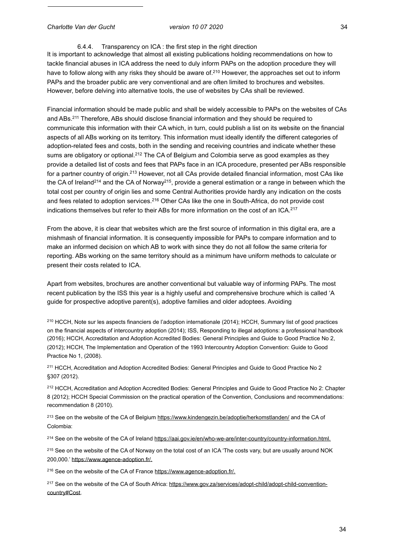#### 6.4.4. Transparency on ICA : the first step in the right direction

It is important to acknowledge that almost all existing publications holding recommendations on how to tackle financial abuses in ICA address the need to duly inform PAPs on the adoption procedure they will have to follow along with any risks they should be aware of.<sup>210</sup> However, the approaches set out to inform PAPs and the broader public are very conventional and are often limited to brochures and websites. However, before delving into alternative tools, the use of websites by CAs shall be reviewed.

Financial information should be made public and shall be widely accessible to PAPs on the websites of CAs and ABs.211 Therefore, ABs should disclose financial information and they should be required to communicate this information with their CA which, in turn, could publish a list on its website on the financial aspects of all ABs working on its territory. This information must ideally identify the different categories of adoption-related fees and costs, both in the sending and receiving countries and indicate whether these sums are obligatory or optional.<sup>212</sup> The CA of Belgium and Colombia serve as good examples as they provide a detailed list of costs and fees that PAPs face in an ICA procedure, presented per ABs responsible for a partner country of origin.<sup>213</sup> However, not all CAs provide detailed financial information, most CAs like the CA of Ireland<sup>214</sup> and the CA of Norway<sup>215</sup>, provide a general estimation or a range in between which the total cost per country of origin lies and some Central Authorities provide hardly any indication on the costs and fees related to adoption services.216 Other CAs like the one in South-Africa, do not provide cost indications themselves but refer to their ABs for more information on the cost of an ICA.<sup>217</sup>

From the above, it is clear that websites which are the first source of information in this digital era, are a mishmash of financial information. It is consequently impossible for PAPs to compare information and to make an informed decision on which AB to work with since they do not all follow the same criteria for reporting. ABs working on the same territory should as a minimum have uniform methods to calculate or present their costs related to ICA.

Apart from websites, brochures are another conventional but valuable way of informing PAPs. The most recent publication by the ISS this year is a highly useful and comprehensive brochure which is called 'A guide for prospective adoptive parent(s), adoptive families and older adoptees. Avoiding

210 HCCH, Note sur les aspects financiers de l'adoption internationale (2014); HCCH, Summary list of good practices on the financial aspects of intercountry adoption (2014); ISS, Responding to illegal adoptions: a professional handbook (2016); HCCH, Accreditation and Adoption Accredited Bodies: General Principles and Guide to Good Practice No 2, (2012); HCCH, The Implementation and Operation of the 1993 Intercountry Adoption Convention: Guide to Good Practice No 1, (2008).

211 HCCH, Accreditation and Adoption Accredited Bodies: General Principles and Guide to Good Practice No 2 §307 (2012).

212 HCCH, Accreditation and Adoption Accredited Bodies: General Principles and Guide to Good Practice No 2: Chapter 8 (2012); HCCH Special Commission on the practical operation of the Convention, Conclusions and recommendations: recommendation 8 (2010).

<sup>213</sup> See on the website of the CA of Belgium https://[www.kindengezin.be/adoptie/herkomstlanden/](http://www.kindengezin.be/adoptie/herkomstlanden/) and the CA of Colombia:

<sup>214</sup> See on the website of the CA of Ireland https://aai.gov.ie/en/who-we-are/inter-country/country-information.html.

<sup>215</sup> See on the website of the CA of Norway on the total cost of an ICA 'The costs vary, but are usually around NOK 200,000.' https://[www.agence-adoption.fr/.](http://www.agence-adoption.fr/)

216 See on the website of the CA of France https://[www.agence-adoption.fr/.](http://www.agence-adoption.fr/)

<sup>217</sup> See on the website of the CA of South Africa: https://[www.gov.za/services/adopt-child/adopt-child-convention](http://www.gov.za/services/adopt-child/adopt-child-convention-)country#Cost.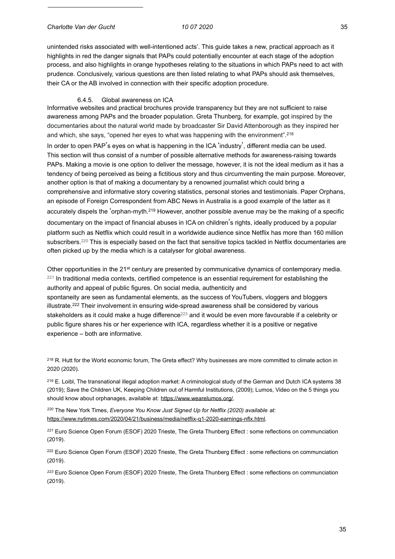#### *Charlotte Van der Gucht 10 07 2020* 35

unintended risks associated with well-intentioned acts'. This guide takes a new, practical approach as it highlights in red the danger signals that PAPs could potentially encounter at each stage of the adoption process, and also highlights in orange hypotheses relating to the situations in which PAPs need to act with prudence. Conclusively, various questions are then listed relating to what PAPs should ask themselves, their CA or the AB involved in connection with their specific adoption procedure.

#### 6.4.5. Global awareness on ICA

Informative websites and practical brochures provide transparency but they are not sufficient to raise awareness among PAPs and the broader population. Greta Thunberg, for example, got inspired by the documentaries about the natural world made by broadcaster Sir David Attenborough as they inspired her and which, she says, "opened her eyes to what was happening with the environment".218 In order to open PAP's eves on what is happening in the ICA 'industry', different media can be used. This section will thus consist of a number of possible alternative methods for awareness-raising towards PAPs. Making a movie is one option to deliver the message, however, it is not the ideal medium as it has a tendency of being perceived as being a fictitious story and thus circumventing the main purpose. Moreover, another option is that of making a documentary by a renowned journalist which could bring a comprehensive and informative story covering statistics, personal stories and testimonials. Paper Orphans, an episode of Foreign Correspondent from ABC News in Australia is a good example of the latter as it accurately dispels the 'orphan-myth.219 However, another possible avenue may be the making of a specific documentary on the impact of financial abuses in ICA on children's rights, ideally produced by a popular platform such as Netflix which could result in a worldwide audience since Netflix has more than 160 million subscribers.<sup>220</sup> This is especially based on the fact that sensitive topics tackled in Netflix documentaries are often picked up by the media which is a catalyser for global awareness.

Other opportunities in the 21<sup>st</sup> century are presented by communicative dynamics of contemporary media. <sup>221</sup> In traditional media contexts, certified competence is an essential requirement for establishing the authority and appeal of public figures. On social media, authenticity and spontaneity are seen as fundamental elements, as the success of YouTubers, vloggers and bloggers illustrate.222 Their involvement in ensuring wide-spread awareness shall be considered by various stakeholders as it could make a huge difference<sup>223</sup> and it would be even more favourable if a celebrity or public figure shares his or her experience with ICA, regardless whether it is a positive or negative experience – both are informative.

<sup>218</sup> R. Hutt for the World economic forum, The Greta effect? Why businesses are more committed to climate action in 2020 (2020).

<sup>219</sup> E. Loibl, The transnational illegal adoption market: A criminological study of the German and Dutch ICA systems 38 (2019); Save the Children UK, Keeping Children out of Harmful Institutions, (2009); Lumos, Video on the 5 things you should know about orphanages, available at: https://[www.wearelumos.org/.](http://www.wearelumos.org/)

*<sup>220</sup>* The New York Times, *Everyone You Know Just Signed Up for Netflix (2020) available at:* https://[www.nytimes.com/2020/04/21/business/media/netflix-q1-2020-earnings-nflx.html.](http://www.nytimes.com/2020/04/21/business/media/netflix-q1-2020-earnings-nflx.html) 

*<sup>221</sup>* Euro Science Open Forum (ESOF) 2020 Trieste, The Greta Thunberg Effect : some reflections on communciation (2019).

<sup>222</sup> Euro Science Open Forum (ESOF) 2020 Trieste, The Greta Thunberg Effect : some reflections on communciation (2019).

*<sup>223</sup>* Euro Science Open Forum (ESOF) 2020 Trieste, The Greta Thunberg Effect : some reflections on communciation (2019).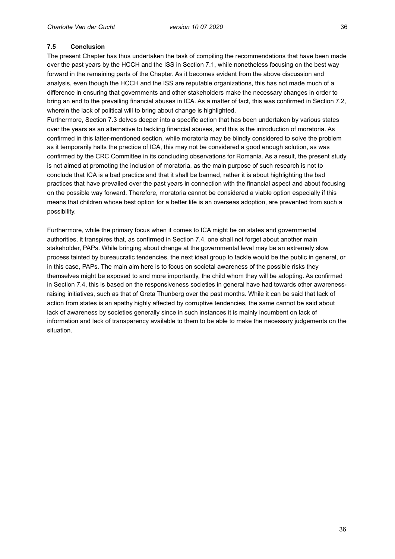# **7.5 Conclusion**

The present Chapter has thus undertaken the task of compiling the recommendations that have been made over the past years by the HCCH and the ISS in Section 7.1, while nonetheless focusing on the best way forward in the remaining parts of the Chapter. As it becomes evident from the above discussion and analysis, even though the HCCH and the ISS are reputable organizations, this has not made much of a difference in ensuring that governments and other stakeholders make the necessary changes in order to bring an end to the prevailing financial abuses in ICA. As a matter of fact, this was confirmed in Section 7.2, wherein the lack of political will to bring about change is highlighted.

Furthermore, Section 7.3 delves deeper into a specific action that has been undertaken by various states over the years as an alternative to tackling financial abuses, and this is the introduction of moratoria. As confirmed in this latter-mentioned section, while moratoria may be blindly considered to solve the problem as it temporarily halts the practice of ICA, this may not be considered a good enough solution, as was confirmed by the CRC Committee in its concluding observations for Romania. As a result, the present study is not aimed at promoting the inclusion of moratoria, as the main purpose of such research is not to conclude that ICA is a bad practice and that it shall be banned, rather it is about highlighting the bad practices that have prevailed over the past years in connection with the financial aspect and about focusing on the possible way forward. Therefore, moratoria cannot be considered a viable option especially if this means that children whose best option for a better life is an overseas adoption, are prevented from such a possibility.

Furthermore, while the primary focus when it comes to ICA might be on states and governmental authorities, it transpires that, as confirmed in Section 7.4, one shall not forget about another main stakeholder, PAPs. While bringing about change at the governmental level may be an extremely slow process tainted by bureaucratic tendencies, the next ideal group to tackle would be the public in general, or in this case, PAPs. The main aim here is to focus on societal awareness of the possible risks they themselves might be exposed to and more importantly, the child whom they will be adopting. As confirmed in Section 7.4, this is based on the responsiveness societies in general have had towards other awarenessraising initiatives, such as that of Greta Thunberg over the past months. While it can be said that lack of action from states is an apathy highly affected by corruptive tendencies, the same cannot be said about lack of awareness by societies generally since in such instances it is mainly incumbent on lack of information and lack of transparency available to them to be able to make the necessary judgements on the situation.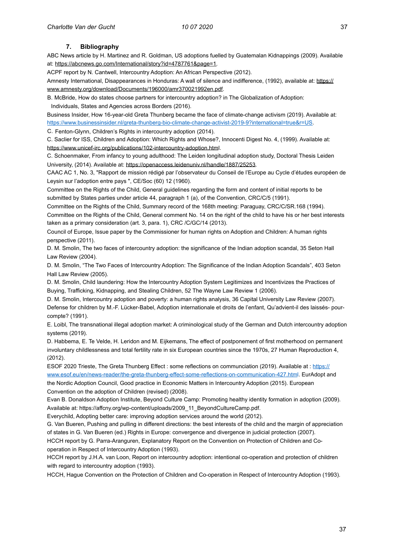#### **7. Bibliography**

ABC News article by H. Martinez and R. Goldman, US adoptions fuelled by Guatemalan Kidnappings (2009). Available at: https://abcnews.go.com/International/story?id=4787761&page=1.

ACPF report by N. Cantwell, Intercountry Adoption: An African Perspective (2012).

Amnesty International, Disappearances in Honduras: A wall of silence and indifference, (1992), available at: https:// [www.amnesty.org/download/Documents/196000/amr370021992en.pdf.](http://www.amnesty.org/download/Documents/196000/amr370021992en.pdf) 

B. McBride, How do states choose partners for intercountry adoption? in The Globalization of Adoption: Individuals, States and Agencies across Borders (2016).

Business Insider, How 16-year-old Greta Thunberg became the face of climate-change activism (2019). Available at: https://[www.businessinsider.nl/greta-thunberg-bio-climate-change-activist-2019-9?international=true&r=US.](http://www.businessinsider.nl/greta-thunberg-bio-climate-change-activist-2019-9?international=true&r=US)

C. Fenton-Glynn, Children's Rights in intercountry adoption (2014).

C. Saclier for ISS, Children and Adoption: Which Rights and Whose?, Innocenti Digest No. 4, (1999). Available at: https://[www.unicef-irc.org/publications/102-intercountry-adoption.html.](http://www.unicef-irc.org/publications/102-intercountry-adoption.html)

C. Schoenmaker, From infancy to young adulthood: The Leiden longitudinal adoption study, Doctoral Thesis Leiden University, (2014). Available at: https://openaccess.leidenuniv.nl/handle/1887/25253.

CAAC AC 1, No. 3, "Rapport de mission rédigé par l'observateur du Conseil de l'Europe au Cycle d'études européen de Leysin sur l'adoption entre pays ", CE/Soc (60) 12 (1960).

Committee on the Rights of the Child, General guidelines regarding the form and content of initial reports to be submitted by States parties under article 44, paragraph 1 (a), of the Convention, CRC/C/5 (1991).

Committee on the Rights of the Child, Summary record of the 168th meeting: Paraguay, CRC/C/SR.168 (1994). Committee on the Rights of the Child, General comment No. 14 on the right of the child to have his or her best interests taken as a primary consideration (art. 3, para. 1), CRC /C/GC/14 (2013).

Council of Europe, Issue paper by the Commissioner for human rights on Adoption and Children: A human rights perspective (2011).

D. M. Smolin, The two faces of intercountry adoption: the significance of the Indian adoption scandal, 35 Seton Hall Law Review (2004).

D. M. Smolin, "The Two Faces of Intercountry Adoption: The Significance of the Indian Adoption Scandals", 403 Seton Hall Law Review (2005).

D. M. Smolin, Child laundering: How the Intercountry Adoption System Legitimizes and Incentivizes the Practices of Buying, Trafficking, Kidnapping, and Stealing Children, 52 The Wayne Law Review 1 (2006).

D. M. Smolin, Intercountry adoption and poverty: a human rights analysis, 36 Capital University Law Review (2007). Defense for children by M.-F. Lücker-Babel, Adoption internationale et droits de l'enfant, Qu'advient-il des laissés- pourcompte? (1991).

E. Loibl, The transnational illegal adoption market: A criminological study of the German and Dutch intercountry adoption systems (2019).

D. Habbema, E. Te Velde, H. Leridon and M. Eijkemans, The effect of postponement of first motherhood on permanent involuntary childlessness and total fertility rate in six European countries since the 1970s, 27 Human Reproduction 4, (2012).

ESOF 2020 Trieste, The Greta Thunberg Effect : some reflections on communciation (2019). Available at : https:// [www.esof.eu/en/news-reader/the-greta-thunberg-effect-some-reflections-on-communication-427.html.](http://www.esof.eu/en/news-reader/the-greta-thunberg-effect-some-reflections-on-communication-427.html) EurAdopt and

the Nordic Adoption Council, Good practice in Economic Matters in Intercountry Adoption (2015). European Convention on the adoption of Children (revised) (2008).

Evan B. Donaldson Adoption Institute, Beyond Culture Camp: Promoting healthy identity formation in adoption (2009). Available at: https://affcny.org/wp-content/uploads/2009\_11\_BeyondCultureCamp.pdf.

Everychild, Adopting better care: improving adoption services around the world (2012).

G. Van Bueren, Pushing and pulling in different directions: the best interests of the child and the margin of appreciation of states in G. Van Bueren (ed.) Rights in Europe: convergence and divergence in judicial protection (2007).

HCCH report by G. Parra-Aranguren, Explanatory Report on the Convention on Protection of Children and Cooperation in Respect of Intercountry Adoption (1993).

HCCH report by J.H.A. van Loon, Report on intercountry adoption: intentional co-operation and protection of children with regard to intercountry adoption (1993).

HCCH, Hague Convention on the Protection of Children and Co-operation in Respect of Intercountry Adoption (1993).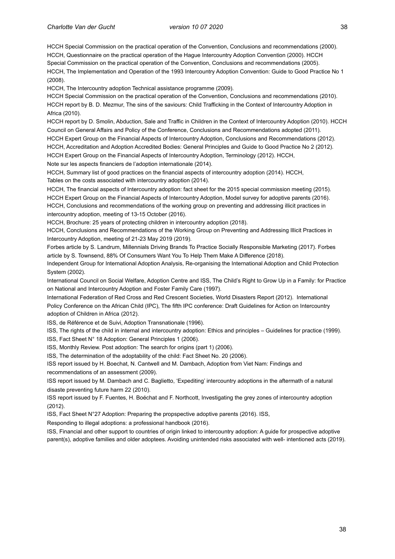HCCH Special Commission on the practical operation of the Convention, Conclusions and recommendations (2000). HCCH, Questionnaire on the practical operation of the Hague Intercountry Adoption Convention (2000). HCCH Special Commission on the practical operation of the Convention, Conclusions and recommendations (2005). HCCH, The Implementation and Operation of the 1993 Intercountry Adoption Convention: Guide to Good Practice No 1 (2008).

HCCH, The Intercountry adoption Technical assistance programme (2009).

HCCH Special Commission on the practical operation of the Convention, Conclusions and recommendations (2010). HCCH report by B. D. Mezmur, The sins of the saviours: Child Trafficking in the Context of Intercountry Adoption in Africa (2010).

HCCH report by D. Smolin, Abduction, Sale and Traffic in Children in the Context of Intercountry Adoption (2010). HCCH Council on General Affairs and Policy of the Conference, Conclusions and Recommendations adopted (2011).

HCCH Expert Group on the Financial Aspects of Intercountry Adoption, Conclusions and Recommendations (2012). HCCH, Accreditation and Adoption Accredited Bodies: General Principles and Guide to Good Practice No 2 (2012). HCCH Expert Group on the Financial Aspects of Intercountry Adoption, Terminology (2012). HCCH, Note sur les aspects financiers de l'adoption internationale (2014).

HCCH, Summary list of good practices on the financial aspects of intercountry adoption (2014). HCCH, Tables on the costs associated with intercountry adoption (2014).

HCCH, The financial aspects of Intercountry adoption: fact sheet for the 2015 special commission meeting (2015). HCCH Expert Group on the Financial Aspects of Intercountry Adoption, Model survey for adoptive parents (2016). HCCH, Conclusions and recommendations of the working group on preventing and addressing illicit practices in intercountry adoption, meeting of 13-15 October (2016).

HCCH, Brochure: 25 years of protecting children in intercountry adoption (2018).

HCCH, Conclusions and Recommendations of the Working Group on Preventing and Addressing Illicit Practices in Intercountry Adoption, meeting of 21-23 May 2019 (2019).

Forbes article by S. Landrum, Millennials Driving Brands To Practice Socially Responsible Marketing (2017). Forbes article by S. Townsend, 88% Of Consumers Want You To Help Them Make A Difference (2018).

Independent Group for International Adoption Analysis, Re-organising the International Adoption and Child Protection System (2002).

International Council on Social Welfare, Adoption Centre and ISS, The Child's Right to Grow Up in a Family: for Practice on National and Intercountry Adoption and Foster Family Care (1997).

International Federation of Red Cross and Red Crescent Societies, World Disasters Report (2012). International Policy Conference on the African Child (IPC), The fifth IPC conference: Draft Guidelines for Action on Intercountry adoption of Children in Africa (2012).

ISS, de Référence et de Suivi, Adoption Transnationale (1996).

ISS, The rights of the child in internal and intercountry adoption: Ethics and principles – Guidelines for practice (1999).

ISS, Fact Sheet N° 18 Adoption: General Principles 1 (2006).

ISS, Monthly Review. Post adoption: The search for origins (part 1) (2006).

ISS, The determination of the adoptability of the child: Fact Sheet No. 20 (2006).

ISS report issued by H. Boechat, N. Cantwell and M. Dambach, Adoption from Viet Nam: Findings and recommendations of an assessment (2009).

ISS report issued by M. Dambach and C. Baglietto, 'Expediting' intercountry adoptions in the aftermath of a natural disaste preventing future harm 22 (2010).

ISS report issued by F. Fuentes, H. Boéchat and F. Northcott, Investigating the grey zones of intercountry adoption (2012).

ISS, Fact Sheet N°27 Adoption: Preparing the propspective adoptive parents (2016). ISS,

Responding to illegal adoptions: a professional handbook (2016).

ISS, Financial and other support to countries of origin linked to intercountry adoption: A guide for prospective adoptive parent(s), adoptive families and older adoptees. Avoiding unintended risks associated with well- intentioned acts (2019).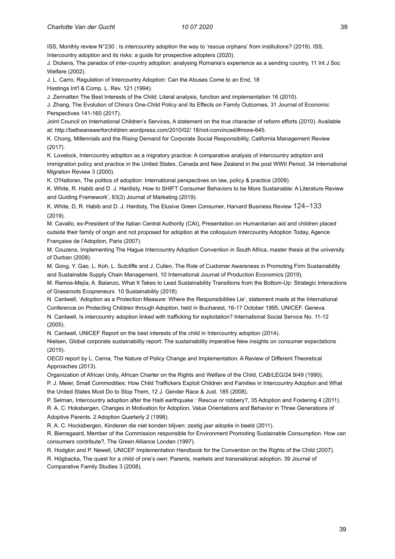ISS, Monthly review N°230 : Is intercountry adoption the way to 'rescue orphans' from institutions? (2019). ISS, Intercountry adoption and its risks: a guide for prospective adopters (2020).

J. Dickens, The paradox of inter-country adoption: analysing Romania's experience as a sending country, 11 Int J Soc Welfare (2002).

J. L. Carro, Regulation of Intercountry Adoption: Can the Abuses Come to an End, 18 Hastings Int'l & Comp. L. Rev. 121 (1994).

J. Zermatten The Best Interests of the Child: Literal analysis, function and implementation 16 (2010).

J. Zhang, The Evolution of China's One-Child Policy and Its Effects on Family Outcomes, 31 Journal of Economic Perspectives 141-160 (2017).

Joint Council on International Children's Services, A statement on the true character of reform efforts (2010). Available at: <http://betheanswerforchildren.wordpress.com/2010/02/>18/not-convinced/#more-645.

K. Chong, Millennials and the Rising Demand for Corporate Social Responsibility, California Management Review (2017).

K. Lovelock, Intercountry adoption as a migratory practice: A comparative analysis of intercountry adoption and immigration policy and practice in the United States, Canada and New Zealand in the post WWII Period, 34 International Migration Review 3 (2000).

K. O'Halloran, The politics of adoption: International perspectives on law, policy & practice (2009).

K. White, R. Habib and D. J. Hardisty, How to SHIFT Consumer Behaviors to be More Sustainable: A Literature Review and Guiding Framework', 83(3) Journal of Marketing (2019).

K. White, D, R. Habib and D. J. Hardisty, The Elusive Green Consumer, Harvard Business Review 124–133 (2019).

M. Cavallo, ex-President of the Italian Central Authority (CAI), Presentation on Humanitarian aid and children placed outside their family of origin and not proposed for adoption at the colloquium Intercountry Adoption Today, Agence Française de l'Adoption, Paris (2007).

M. Couzens, Implementing The Hague Intercountry Adoption Convention in South Africa, master thesis at the university of Durban (2008).

M. Gong, Y. Gao, L. Koh, L. Sutcliffe and J. Cullen, The Role of Customer Awareness in Promoting Firm Sustainability and Sustainable Supply Chain Management, 10 International Journal of Production Economics (2019).

M. Ramos-Mejía; A. Balanzo, What It Takes to Lead Sustainability Transitions from the Bottom-Up: Strategic Interactions of Grassroots Ecopreneurs. 10 Sustainability (2018).

N. Cantwell, 'Adoption as a Protection Measure: Where the Responsibilities Lie', statement made at the International Conference on Protecting Children through Adoption, held in Bucharest, 16-17 October 1995, UNICEF, Geneva.

N. Cantwell, Is intercountry adoption linked with trafficking for exploitation? International Social Service No. 11-12 (2005).

N. Cantwell, UNICEF Report on the best interests of the child in Intercountry adoption (2014).

Nielsen, Global corporate sustainability report: The sustainability imperative New insights on consumer expectations (2015).

OECD report by L. Cerna, The Nature of Policy Change and Implementation: A Review of Different Theoretical Approaches (2013).

Organization of African Unity, African Charter on the Rights and Welfare of the Child, CAB/LEG/24.9/49 (1990).

P. J. Meier, Small Commodities: How Child Traffickers Exploit Children and Families in Intercountry Adoption and What the United States Must Do to Stop Them, 12 J. Gender Race & Just. 185 (2008).

P. Selman, Intercountry adoption after the Haiti earthquake : Rescue or robbery?, 35 Adoption and Fostering 4 (2011). R. A. C. Hoksbergen, Changes in Motivation for Adoption, Value Orientations and Behavior in Three Generations of

Adoptive Parents. 2 Adoption Quarterly 2 (1998).

R. A. C. Hocksbergen, Kinderen die niet konden blijven: zestig jaar adoptie in beeld (2011).

R. Bierregaard, Member of the Commission responsible for Environment Promoting Sustainable Consumption. How can consumers contribute?, The Green Alliance Londen (1997).

R. Hodgkin and P. Newell, UNICEF Implementation Handbook for the Convention on the Rights of the Child (2007).

R. Högbacka, The quest for a child of one's own: Parents, markets and transnational adoption, 39 Journal of Comparative Family Studies 3 (2008).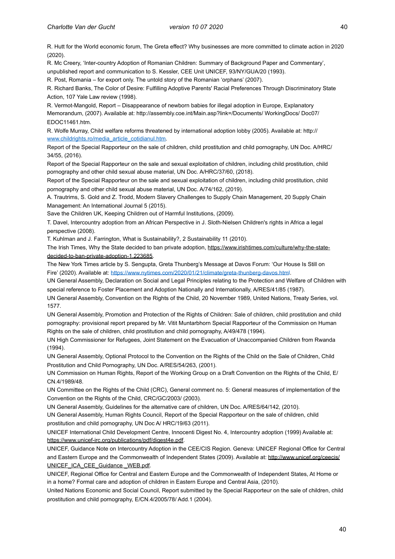R. Hutt for the World economic forum, The Greta effect? Why businesses are more committed to climate action in 2020 (2020).

R. Mc Creery, 'Inter-country Adoption of Romanian Children: Summary of Background Paper and Commentary', unpublished report and communication to S. Kessler, CEE Unit UNICEF, 93/NY/GUA/20 (1993).

R. Post, Romania – for export only. The untold story of the Romanian 'orphans' (2007).

R. Richard Banks, The Color of Desire: Fulfilling Adoptive Parents' Racial Preferences Through Discriminatory State Action, 107 Yale Law review (1998).

R. Vermot-Mangold, Report – Disappearance of newborn babies for illegal adoption in Europe, Explanatory Memorandum, (2007). Available at: http://assembly.coe.int/Main.asp?link=/Documents/ WorkingDocs/ Doc07/ EDOC11461.htm.

R. Wolfe Murray, Child welfare reforms threatened by international adoption lobby (2005). Available at: http:// [www.childrights.ro/media\\_article\\_cotidianul.htm.](http://www.childrights.ro/media_article_cotidianul.htm) 

Report of the Special Rapporteur on the sale of children, child prostitution and child pornography, UN Doc. A/HRC/ 34/55, (2016).

Report of the Special Rapporteur on the sale and sexual exploitation of children, including child prostitution, child pornography and other child sexual abuse material, UN Doc. A/HRC/37/60, (2018).

Report of the Special Rapporteur on the sale and sexual exploitation of children, including child prostitution, child pornography and other child sexual abuse material, UN Doc. A/74/162, (2019).

A. Trautrims, S. Gold and Z. Trodd, Modern Slavery Challenges to Supply Chain Management, 20 Supply Chain Management: An International Journal 5 (2015).

Save the Children UK, Keeping Children out of Harmful Institutions, (2009).

T. Davel, Intercountry adoption from an African Perspective in J. Sloth-Nielsen Children's rights in Africa a legal perspective (2008).

T. Kuhlman and J. Farrington, What is Sustainability?, 2 Sustainability 11 (2010).

The Irish Times, Why the State decided to ban private adoption, https://[www.irishtimes.com/culture/why-the-state](http://www.irishtimes.com/culture/why-the-state-)decided-to-ban-private-adoption-1.223685.

The New York Times article by S. Sengupta, Greta Thunberg's Message at Davos Forum: 'Our House Is Still on Fire' (2020). Available at: https://[www.nytimes.com/2020/01/21/climate/greta-thunberg-davos.html.](http://www.nytimes.com/2020/01/21/climate/greta-thunberg-davos.html)

UN General Assembly, Declaration on Social and Legal Principles relating to the Protection and Welfare of Children with special reference to Foster Placement and Adoption Nationally and Internationally, A/RES/41/85 (1987).

UN General Assembly, Convention on the Rights of the Child, 20 November 1989, United Nations, Treaty Series, vol. 1577.

UN General Assembly, Promotion and Protection of the Rights of Children: Sale of children, child prostitution and child pornography: provisional report prepared by Mr. Vitit Muntarbhorn Special Rapporteur of the Commission on Human Rights on the sale of children, child prostitution and child pornography, A/49/478 (1994).

UN High Commissioner for Refugees, Joint Statement on the Evacuation of Unaccompanied Children from Rwanda (1994).

UN General Assembly, Optional Protocol to the Convention on the Rights of the Child on the Sale of Children, Child Prostitution and Child Pornography, UN Doc. A/RES/54/263, (2001).

UN Commission on Human Rights, Report of the Working Group on a Draft Convention on the Rights of the Child, E/ CN.4/1989/48.

UN Committee on the Rights of the Child (CRC), General comment no. 5: General measures of implementation of the Convention on the Rights of the Child, CRC/GC/2003/ (2003).

UN General Assembly, Guidelines for the alternative care of children, UN Doc. A/RES/64/142, (2010).

UN General Assembly, Human Rights Council, Report of the Special Rapporteur on the sale of children, child prostitution and child pornography, UN Doc A/ HRC/19/63 (2011).

UNICEF International Child Development Centre, Innocenti Digest No. 4, Intercountry adoption (1999) Available at: https://[www.unicef-irc.org/publications/pdf/digest4e.pdf.](http://www.unicef-irc.org/publications/pdf/digest4e.pdf) 

UNICEF, Guidance Note on Intercountry Adoption in the CEE/CIS Region. Geneva: UNICEF Regional Office for Central [and Eastern Europe and the Commonwealth of Independent States \(2009\). Available at: http://www.unicef.org/ceecis/](http://www.unicef.org/ceecis/UNICEF_ICA_CEE_Guidance_WEB.pdf) UNICEF\_ICA\_CEE\_Guidance\_WEB.pdf.

UNICEF, Regional Office for Central and Eastern Europe and the Commonwealth of Independent States, At Home or in a home? Formal care and adoption of children in Eastern Europe and Central Asia, (2010).

United Nations Economic and Social Council, Report submitted by the Special Rapporteur on the sale of children, child prostitution and child pornography, E/CN.4/2005/78/ Add.1 (2004).